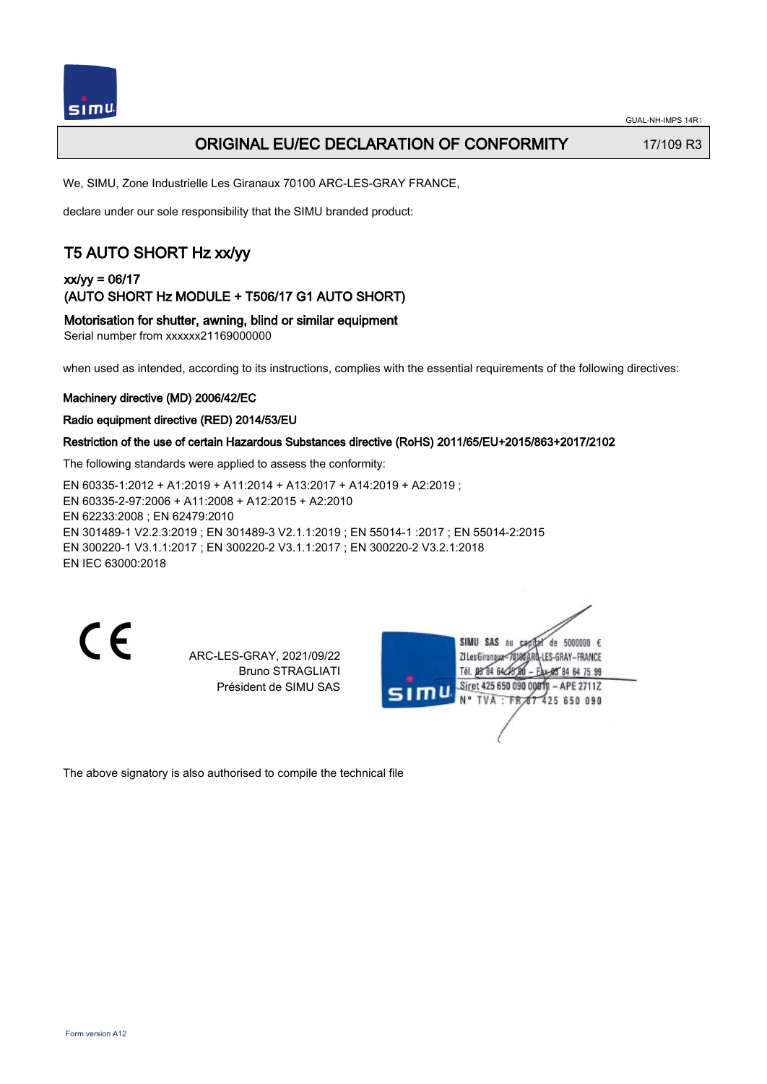

## ORIGINAL EU/EC DECLARATION OF CONFORMITY 17/109 R3

We, SIMU, Zone Industrielle Les Giranaux 70100 ARC-LES-GRAY FRANCE,

declare under our sole responsibility that the SIMU branded product:

# T5 AUTO SHORT Hz xx/yy

## xx/yy = 06/17 (AUTO SHORT Hz MODULE + T506/17 G1 AUTO SHORT)

Motorisation for shutter, awning, blind or similar equipment

Serial number from xxxxxx21169000000

when used as intended, according to its instructions, complies with the essential requirements of the following directives:

#### Machinery directive (MD) 2006/42/EC

#### Radio equipment directive (RED) 2014/53/EU

### Restriction of the use of certain Hazardous Substances directive (RoHS) 2011/65/EU+2015/863+2017/2102

The following standards were applied to assess the conformity:

EN 60335‑1:2012 + A1:2019 + A11:2014 + A13:2017 + A14:2019 + A2:2019 ; EN 60335‑2‑97:2006 + A11:2008 + A12:2015 + A2:2010 EN 62233:2008 ; EN 62479:2010 EN 301489‑1 V2.2.3:2019 ; EN 301489‑3 V2.1.1:2019 ; EN 55014‑1 :2017 ; EN 55014‑2:2015 EN 300220‑1 V3.1.1:2017 ; EN 300220‑2 V3.1.1:2017 ; EN 300220‑2 V3.2.1:2018 EN IEC 63000:2018

CE

ARC-LES-GRAY, 2021/09/22 Bruno STRAGLIATI Président de SIMU SAS

SIMU SAS au de 5000000  $\epsilon$ ZI Les Giranaux=70180ARQ-LES-GRAY-FRANCE Tél. 08 84 64 28 584 64 75 99 Siret 425 650 090 00811 - APE 2711Z TVA · FRAT 425 650 090

The above signatory is also authorised to compile the technical file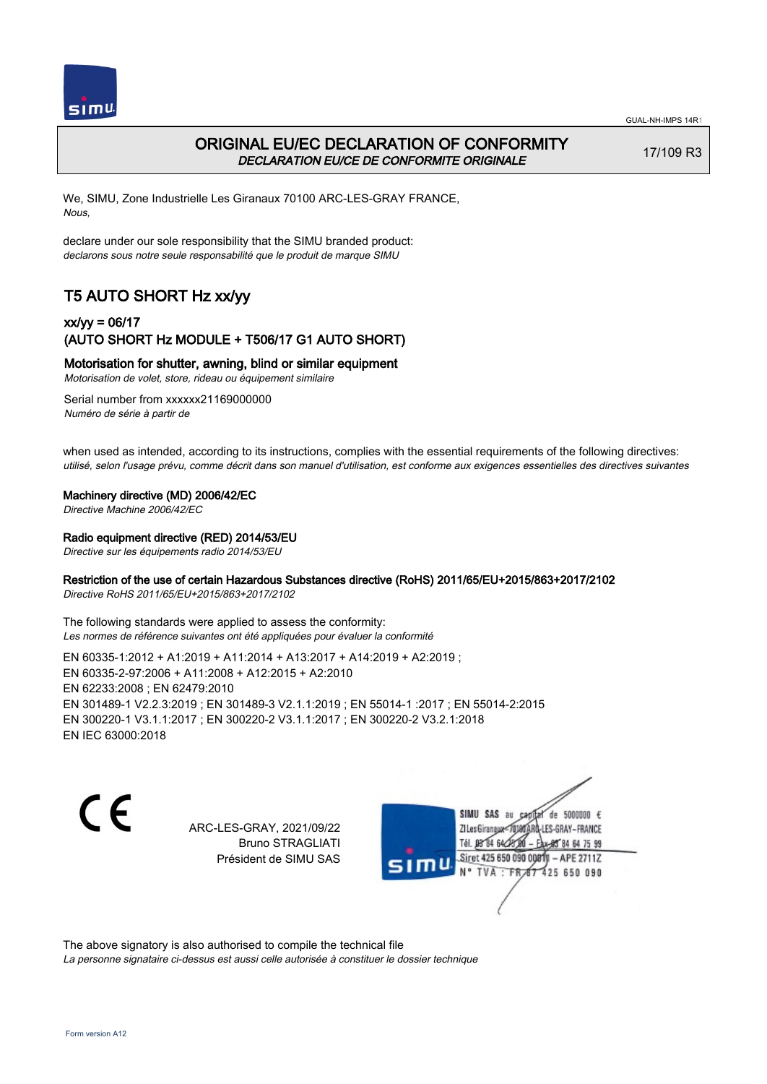



## ORIGINAL EU/EC DECLARATION OF CONFORMITY DECLARATION EU/CE DE CONFORMITE ORIGINALE

17/109 R3

We, SIMU, Zone Industrielle Les Giranaux 70100 ARC-LES-GRAY FRANCE, Nous,

declare under our sole responsibility that the SIMU branded product: declarons sous notre seule responsabilité que le produit de marque SIMU

# T5 AUTO SHORT Hz xx/yy

## xx/yy = 06/17 (AUTO SHORT Hz MODULE + T506/17 G1 AUTO SHORT)

Motorisation for shutter, awning, blind or similar equipment

Motorisation de volet, store, rideau ou équipement similaire

Serial number from xxxxxx21169000000 Numéro de série à partir de

when used as intended, according to its instructions, complies with the essential requirements of the following directives: utilisé, selon l'usage prévu, comme décrit dans son manuel d'utilisation, est conforme aux exigences essentielles des directives suivantes

#### Machinery directive (MD) 2006/42/EC

Directive Machine 2006/42/EC

#### Radio equipment directive (RED) 2014/53/EU

Directive sur les équipements radio 2014/53/EU

### Restriction of the use of certain Hazardous Substances directive (RoHS) 2011/65/EU+2015/863+2017/2102

Directive RoHS 2011/65/EU+2015/863+2017/2102

The following standards were applied to assess the conformity: Les normes de référence suivantes ont été appliquées pour évaluer la conformité

EN 60335‑1:2012 + A1:2019 + A11:2014 + A13:2017 + A14:2019 + A2:2019 ; EN 60335‑2‑97:2006 + A11:2008 + A12:2015 + A2:2010 EN 62233:2008 ; EN 62479:2010 EN 301489‑1 V2.2.3:2019 ; EN 301489‑3 V2.1.1:2019 ; EN 55014‑1 :2017 ; EN 55014‑2:2015 EN 300220‑1 V3.1.1:2017 ; EN 300220‑2 V3.1.1:2017 ; EN 300220‑2 V3.2.1:2018 EN IEC 63000:2018

C F

ARC-LES-GRAY, 2021/09/22 Bruno STRAGLIATI Président de SIMU SAS

de 5000000  $\epsilon$ SIMU SAS au ZI Les Giranaux<sup>2</sup> ES-GRAY-FRANCE Tél. 08 84 64 2 64 75 99 Siret 425 650 090 00811  $-$  APF 27117 125 650 090

The above signatory is also authorised to compile the technical file

La personne signataire ci-dessus est aussi celle autorisée à constituer le dossier technique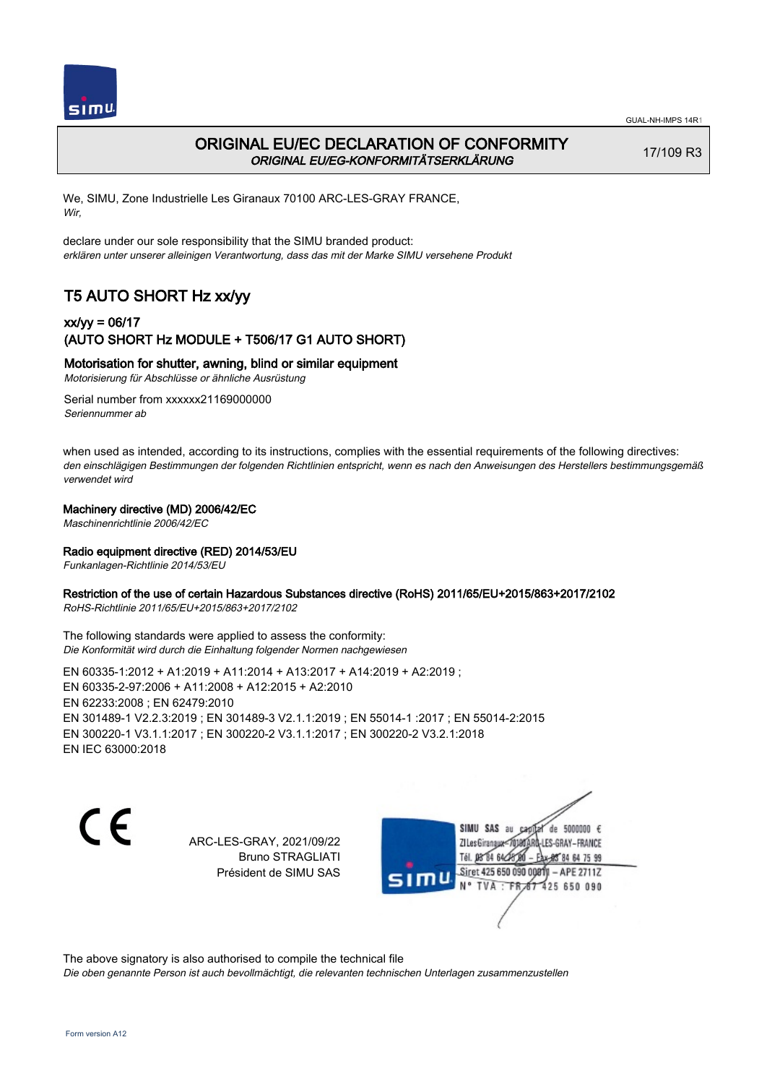



## ORIGINAL EU/EC DECLARATION OF CONFORMITY ORIGINAL EU/EG-KONFORMITÄTSERKLÄRUNG

17/109 R3

We, SIMU, Zone Industrielle Les Giranaux 70100 ARC-LES-GRAY FRANCE, Wir,

declare under our sole responsibility that the SIMU branded product: erklären unter unserer alleinigen Verantwortung, dass das mit der Marke SIMU versehene Produkt

# T5 AUTO SHORT Hz xx/yy

## xx/yy = 06/17 (AUTO SHORT Hz MODULE + T506/17 G1 AUTO SHORT)

## Motorisation for shutter, awning, blind or similar equipment

Motorisierung für Abschlüsse or ähnliche Ausrüstung

Serial number from xxxxxx21169000000 Seriennummer ab

when used as intended, according to its instructions, complies with the essential requirements of the following directives: den einschlägigen Bestimmungen der folgenden Richtlinien entspricht, wenn es nach den Anweisungen des Herstellers bestimmungsgemäß verwendet wird

#### Machinery directive (MD) 2006/42/EC

Maschinenrichtlinie 2006/42/EC

#### Radio equipment directive (RED) 2014/53/EU

Funkanlagen-Richtlinie 2014/53/EU

#### Restriction of the use of certain Hazardous Substances directive (RoHS) 2011/65/EU+2015/863+2017/2102

RoHS-Richtlinie 2011/65/EU+2015/863+2017/2102

The following standards were applied to assess the conformity: Die Konformität wird durch die Einhaltung folgender Normen nachgewiesen

EN 60335‑1:2012 + A1:2019 + A11:2014 + A13:2017 + A14:2019 + A2:2019 ; EN 60335‑2‑97:2006 + A11:2008 + A12:2015 + A2:2010 EN 62233:2008 ; EN 62479:2010 EN 301489‑1 V2.2.3:2019 ; EN 301489‑3 V2.1.1:2019 ; EN 55014‑1 :2017 ; EN 55014‑2:2015 EN 300220‑1 V3.1.1:2017 ; EN 300220‑2 V3.1.1:2017 ; EN 300220‑2 V3.2.1:2018 EN IEC 63000:2018

(F

ARC-LES-GRAY, 2021/09/22 Bruno STRAGLIATI Président de SIMU SAS

de 5000000 € SIMU SAS au ZI Les Giranauxe LES-GRAY-FRANCE Tél. 08 84 64 24 95 84 64 75 99 Siret 425 650 090 00811 - APE 2711Z  $TVA$ : FRAT 425 650 090

The above signatory is also authorised to compile the technical file

Die oben genannte Person ist auch bevollmächtigt, die relevanten technischen Unterlagen zusammenzustellen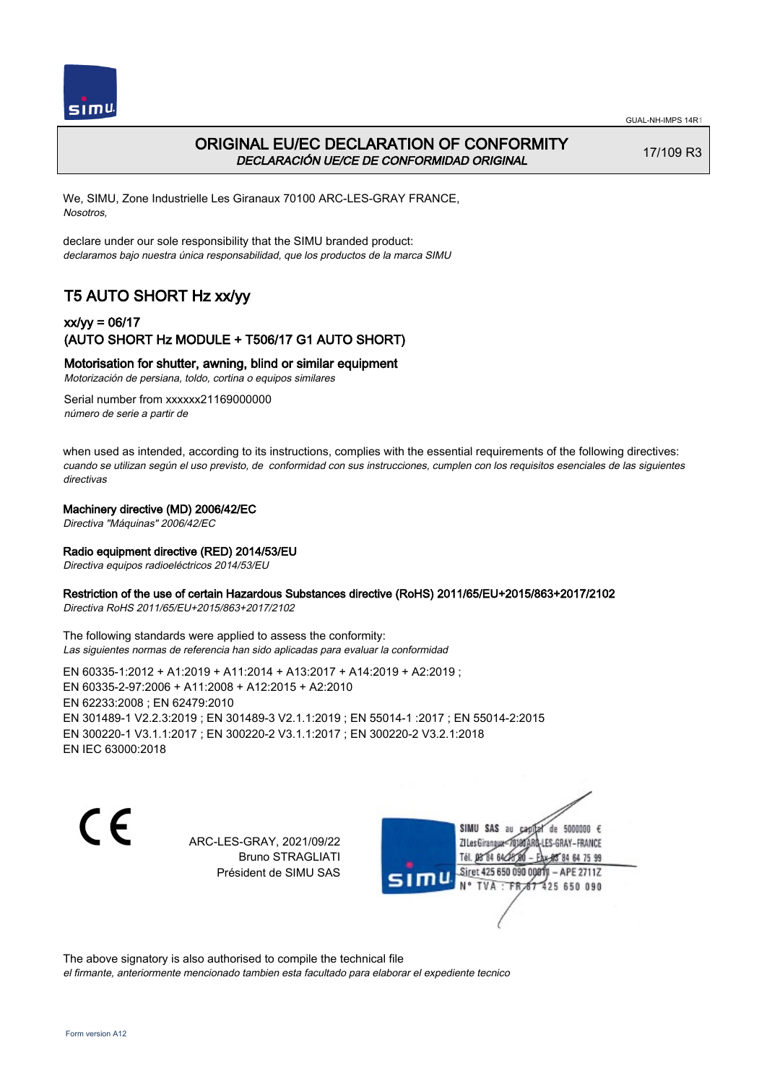



## ORIGINAL EU/EC DECLARATION OF CONFORMITY DECLARACIÓN UE/CE DE CONFORMIDAD ORIGINAL

17/109 R3

We, SIMU, Zone Industrielle Les Giranaux 70100 ARC-LES-GRAY FRANCE, Nosotros,

declare under our sole responsibility that the SIMU branded product: declaramos bajo nuestra única responsabilidad, que los productos de la marca SIMU

# T5 AUTO SHORT Hz xx/yy

## xx/yy = 06/17 (AUTO SHORT Hz MODULE + T506/17 G1 AUTO SHORT)

## Motorisation for shutter, awning, blind or similar equipment

Motorización de persiana, toldo, cortina o equipos similares

Serial number from xxxxxx21169000000 número de serie a partir de

when used as intended, according to its instructions, complies with the essential requirements of the following directives: cuando se utilizan según el uso previsto, de conformidad con sus instrucciones, cumplen con los requisitos esenciales de las siguientes directivas

#### Machinery directive (MD) 2006/42/EC

Directiva "Máquinas" 2006/42/EC

#### Radio equipment directive (RED) 2014/53/EU

Directiva equipos radioeléctricos 2014/53/EU

#### Restriction of the use of certain Hazardous Substances directive (RoHS) 2011/65/EU+2015/863+2017/2102

Directiva RoHS 2011/65/EU+2015/863+2017/2102

The following standards were applied to assess the conformity: Las siguientes normas de referencia han sido aplicadas para evaluar la conformidad

EN 60335‑1:2012 + A1:2019 + A11:2014 + A13:2017 + A14:2019 + A2:2019 ; EN 60335‑2‑97:2006 + A11:2008 + A12:2015 + A2:2010 EN 62233:2008 ; EN 62479:2010 EN 301489‑1 V2.2.3:2019 ; EN 301489‑3 V2.1.1:2019 ; EN 55014‑1 :2017 ; EN 55014‑2:2015 EN 300220‑1 V3.1.1:2017 ; EN 300220‑2 V3.1.1:2017 ; EN 300220‑2 V3.2.1:2018 EN IEC 63000:2018

C F

ARC-LES-GRAY, 2021/09/22 Bruno STRAGLIATI Président de SIMU SAS

de 5000000  $\epsilon$ SIMU SAS au ZI Les Giranaux< LES-GRAY-FRANCE Tél. 08 84 64 24 95 84 64 75 99 Siret 425 650 090 00811 - APE 2711Z TVA: FR 67 425 650 090

The above signatory is also authorised to compile the technical file el firmante, anteriormente mencionado tambien esta facultado para elaborar el expediente tecnico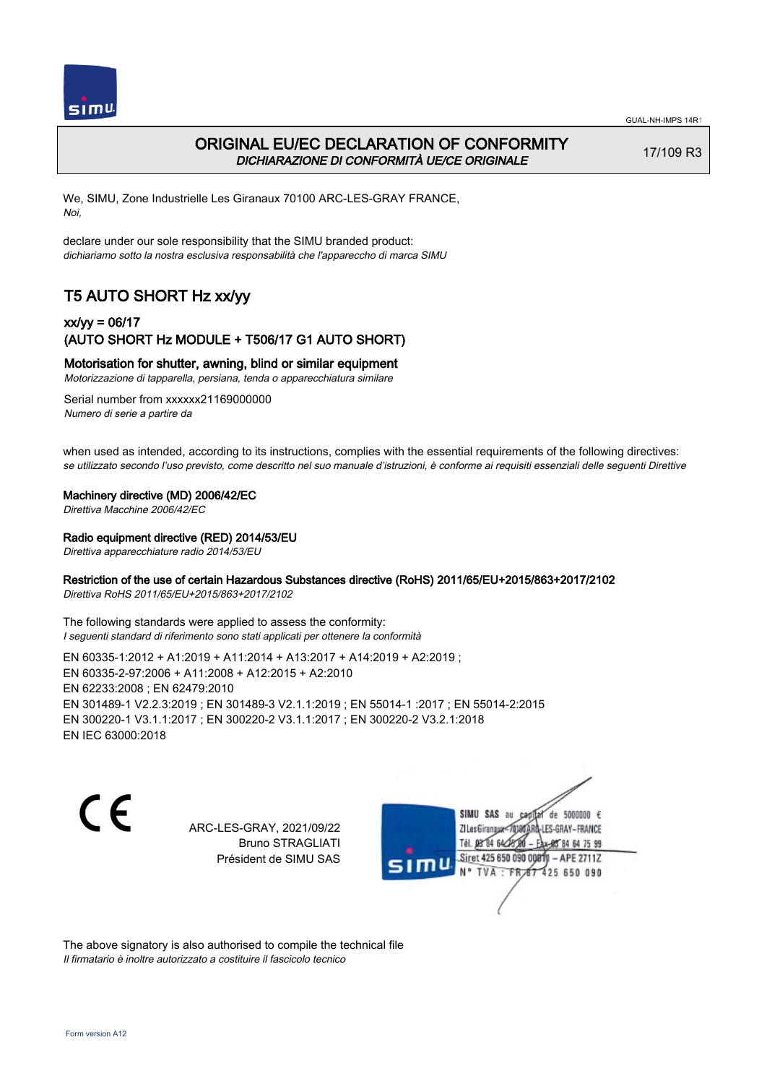

# ORIGINAL EU/EC DECLARATION OF CONFORMITY DICHIARAZIONE DI CONFORMITÀ UE/CE ORIGINALE

17/109 R3

We, SIMU, Zone Industrielle Les Giranaux 70100 ARC-LES-GRAY FRANCE, Noi,

declare under our sole responsibility that the SIMU branded product: dichiariamo sotto la nostra esclusiva responsabilità che l'appareccho di marca SIMU

# T5 AUTO SHORT Hz xx/yy

## xx/yy = 06/17 (AUTO SHORT Hz MODULE + T506/17 G1 AUTO SHORT)

#### Motorisation for shutter, awning, blind or similar equipment

Motorizzazione di tapparella, persiana, tenda o apparecchiatura similare

Serial number from xxxxxx21169000000 Numero di serie a partire da

when used as intended, according to its instructions, complies with the essential requirements of the following directives: se utilizzato secondo l'uso previsto, come descritto nel suo manuale d'istruzioni, è conforme ai requisiti essenziali delle seguenti Direttive

#### Machinery directive (MD) 2006/42/EC

Direttiva Macchine 2006/42/EC

#### Radio equipment directive (RED) 2014/53/EU

Direttiva apparecchiature radio 2014/53/EU

## Restriction of the use of certain Hazardous Substances directive (RoHS) 2011/65/EU+2015/863+2017/2102

Direttiva RoHS 2011/65/EU+2015/863+2017/2102

The following standards were applied to assess the conformity: I seguenti standard di riferimento sono stati applicati per ottenere la conformità

EN 60335‑1:2012 + A1:2019 + A11:2014 + A13:2017 + A14:2019 + A2:2019 ; EN 60335‑2‑97:2006 + A11:2008 + A12:2015 + A2:2010 EN 62233:2008 ; EN 62479:2010 EN 301489‑1 V2.2.3:2019 ; EN 301489‑3 V2.1.1:2019 ; EN 55014‑1 :2017 ; EN 55014‑2:2015 EN 300220‑1 V3.1.1:2017 ; EN 300220‑2 V3.1.1:2017 ; EN 300220‑2 V3.2.1:2018 EN IEC 63000:2018

C F

ARC-LES-GRAY, 2021/09/22 Bruno STRAGLIATI Président de SIMU SAS

de 5000000  $\epsilon$ SIMU SAS au ZI Les Giranaux< ES-GRAY-FRANCE Tél. 08 84 64 2 64 75 99 Siret 425 650 090 00811  $-$  APF 27117 125 650 090

The above signatory is also authorised to compile the technical file Il firmatario è inoltre autorizzato a costituire il fascicolo tecnico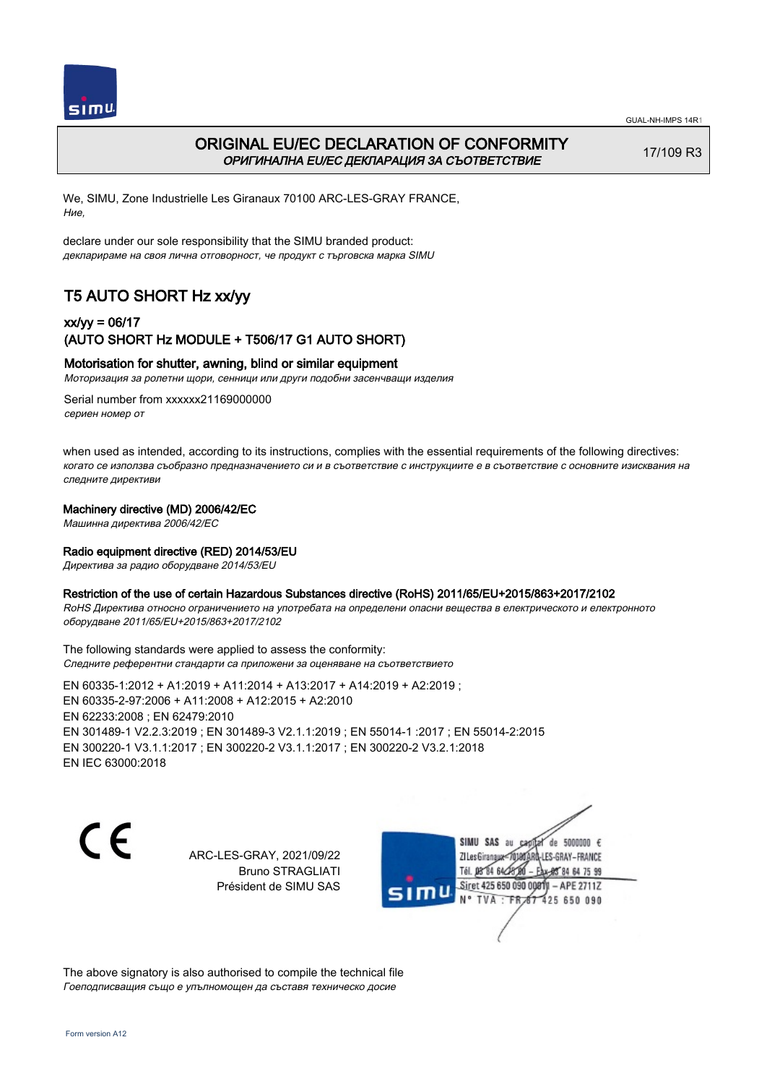



# ORIGINAL EU/EC DECLARATION OF CONFORMITY ОРИГИНАЛНА EU/EC ДЕКЛАРАЦИЯ ЗА СЪОТВЕТСТВИЕ

17/109 R3

We, SIMU, Zone Industrielle Les Giranaux 70100 ARC-LES-GRAY FRANCE, Ние,

declare under our sole responsibility that the SIMU branded product: декларираме на своя лична отговорност, че продукт с търговска марка SIMU

# T5 AUTO SHORT Hz xx/yy

## xx/yy = 06/17 (AUTO SHORT Hz MODULE + T506/17 G1 AUTO SHORT)

#### Motorisation for shutter, awning, blind or similar equipment

Моторизация за ролетни щори, сенници или други подобни засенчващи изделия

Serial number from xxxxxx21169000000 сериен номер от

when used as intended, according to its instructions, complies with the essential requirements of the following directives: когато се използва съобразно предназначението си и в съответствие с инструкциите е в съответствие с основните изисквания на следните директиви

#### Machinery directive (MD) 2006/42/EC

Машинна директива 2006/42/EC

#### Radio equipment directive (RED) 2014/53/EU

Директива за радио оборудване 2014/53/EU

#### Restriction of the use of certain Hazardous Substances directive (RoHS) 2011/65/EU+2015/863+2017/2102

RoHS Директива относно ограничението на употребата на определени опасни вещества в електрическото и електронното оборудване 2011/65/EU+2015/863+2017/2102

The following standards were applied to assess the conformity: Следните референтни стандарти са приложени за оценяване на съответствието

EN 60335‑1:2012 + A1:2019 + A11:2014 + A13:2017 + A14:2019 + A2:2019 ; EN 60335‑2‑97:2006 + A11:2008 + A12:2015 + A2:2010 EN 62233:2008 ; EN 62479:2010 EN 301489‑1 V2.2.3:2019 ; EN 301489‑3 V2.1.1:2019 ; EN 55014‑1 :2017 ; EN 55014‑2:2015 EN 300220‑1 V3.1.1:2017 ; EN 300220‑2 V3.1.1:2017 ; EN 300220‑2 V3.2.1:2018 EN IEC 63000:2018

CE

ARC-LES-GRAY, 2021/09/22 Bruno STRAGLIATI Président de SIMU SAS



The above signatory is also authorised to compile the technical file Гоеподписващия също е упълномощен да съставя техническо досие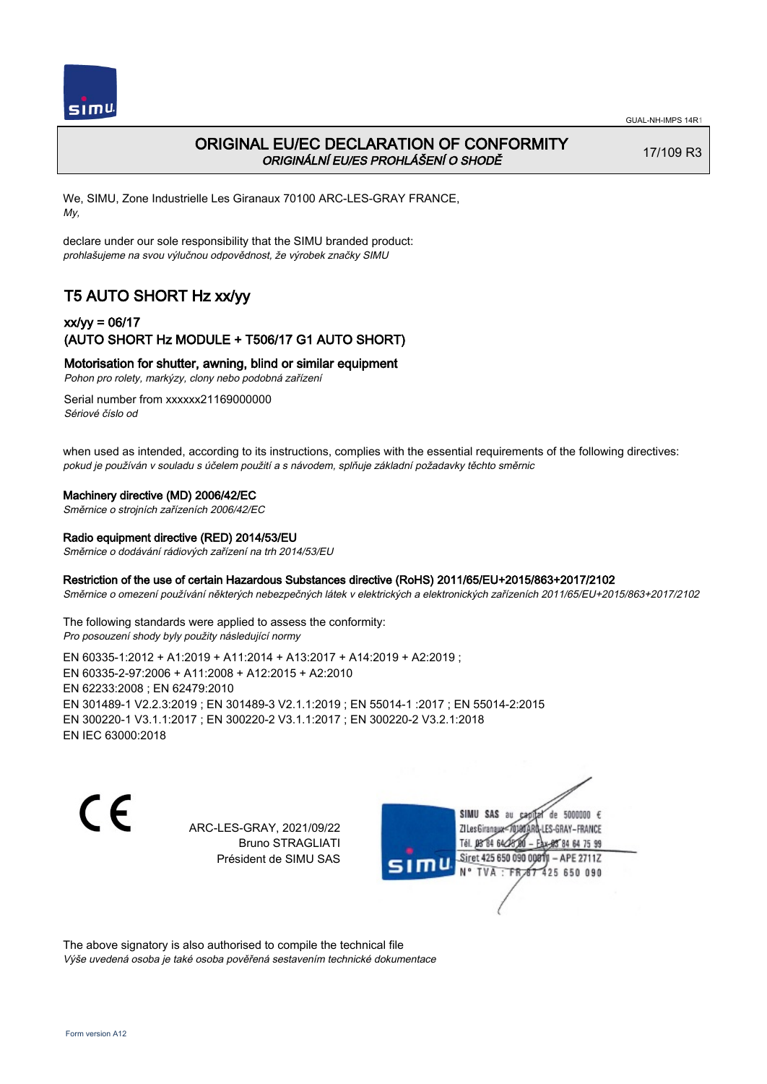

# ORIGINAL EU/EC DECLARATION OF CONFORMITY ORIGINÁLNÍ EU/ES PROHLÁŠENÍ O SHODĚ

17/109 R3

We, SIMU, Zone Industrielle Les Giranaux 70100 ARC-LES-GRAY FRANCE, My,

declare under our sole responsibility that the SIMU branded product: prohlašujeme na svou výlučnou odpovědnost, že výrobek značky SIMU

# T5 AUTO SHORT Hz xx/yy

## xx/yy = 06/17 (AUTO SHORT Hz MODULE + T506/17 G1 AUTO SHORT)

### Motorisation for shutter, awning, blind or similar equipment

Pohon pro rolety, markýzy, clony nebo podobná zařízení

Serial number from xxxxxx21169000000 Sériové číslo od

when used as intended, according to its instructions, complies with the essential requirements of the following directives: pokud je používán v souladu s účelem použití a s návodem, splňuje základní požadavky těchto směrnic

#### Machinery directive (MD) 2006/42/EC

Směrnice o strojních zařízeních 2006/42/EC

### Radio equipment directive (RED) 2014/53/EU

Směrnice o dodávání rádiových zařízení na trh 2014/53/EU

#### Restriction of the use of certain Hazardous Substances directive (RoHS) 2011/65/EU+2015/863+2017/2102

Směrnice o omezení používání některých nebezpečných látek v elektrických a elektronických zařízeních 2011/65/EU+2015/863+2017/2102

The following standards were applied to assess the conformity: Pro posouzení shody byly použity následující normy

EN 60335‑1:2012 + A1:2019 + A11:2014 + A13:2017 + A14:2019 + A2:2019 ; EN 60335‑2‑97:2006 + A11:2008 + A12:2015 + A2:2010 EN 62233:2008 ; EN 62479:2010 EN 301489‑1 V2.2.3:2019 ; EN 301489‑3 V2.1.1:2019 ; EN 55014‑1 :2017 ; EN 55014‑2:2015 EN 300220‑1 V3.1.1:2017 ; EN 300220‑2 V3.1.1:2017 ; EN 300220‑2 V3.2.1:2018 EN IEC 63000:2018

C F

ARC-LES-GRAY, 2021/09/22 Bruno STRAGLIATI Président de SIMU SAS

de 5000000  $\epsilon$ SIMU SAS au ZI Les Giranaux</r0 ES-GRAY-FRANCE Tél. 08 R4 64 2 64 75 99 Siret 425 650 090 00811  $-$  APF 27117 125 650 090

The above signatory is also authorised to compile the technical file Výše uvedená osoba je také osoba pověřená sestavením technické dokumentace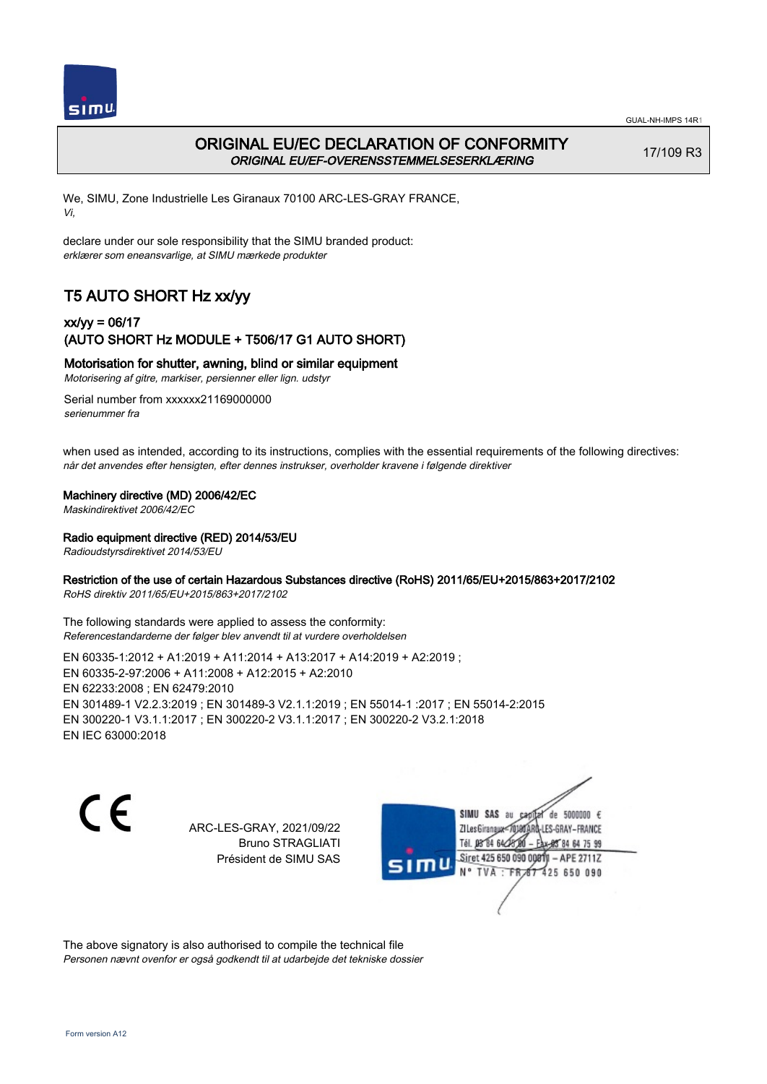



## ORIGINAL EU/EC DECLARATION OF CONFORMITY ORIGINAL EU/EF-OVERENSSTEMMELSESERKLÆRING

17/109 R3

We, SIMU, Zone Industrielle Les Giranaux 70100 ARC-LES-GRAY FRANCE, Vi,

declare under our sole responsibility that the SIMU branded product: erklærer som eneansvarlige, at SIMU mærkede produkter

# T5 AUTO SHORT Hz xx/yy

## xx/yy = 06/17 (AUTO SHORT Hz MODULE + T506/17 G1 AUTO SHORT)

### Motorisation for shutter, awning, blind or similar equipment

Motorisering af gitre, markiser, persienner eller lign. udstyr

Serial number from xxxxxx21169000000 serienummer fra

when used as intended, according to its instructions, complies with the essential requirements of the following directives: når det anvendes efter hensigten, efter dennes instrukser, overholder kravene i følgende direktiver

#### Machinery directive (MD) 2006/42/EC

Maskindirektivet 2006/42/EC

Radio equipment directive (RED) 2014/53/EU

Radioudstyrsdirektivet 2014/53/EU

### Restriction of the use of certain Hazardous Substances directive (RoHS) 2011/65/EU+2015/863+2017/2102

RoHS direktiv 2011/65/EU+2015/863+2017/2102

The following standards were applied to assess the conformity: Referencestandarderne der følger blev anvendt til at vurdere overholdelsen

EN 60335‑1:2012 + A1:2019 + A11:2014 + A13:2017 + A14:2019 + A2:2019 ; EN 60335‑2‑97:2006 + A11:2008 + A12:2015 + A2:2010 EN 62233:2008 ; EN 62479:2010 EN 301489‑1 V2.2.3:2019 ; EN 301489‑3 V2.1.1:2019 ; EN 55014‑1 :2017 ; EN 55014‑2:2015 EN 300220‑1 V3.1.1:2017 ; EN 300220‑2 V3.1.1:2017 ; EN 300220‑2 V3.2.1:2018 EN IEC 63000:2018

C F

ARC-LES-GRAY, 2021/09/22 Bruno STRAGLIATI Président de SIMU SAS

de 5000000  $\epsilon$ SIMU SAS au ZI Les Giranaux< LES-GRAY-FRANCE Tél. 08 84 64 2 64 75 99 Siret 425 650 090 00811  $-$  APF 27117 125 650 090

The above signatory is also authorised to compile the technical file Personen nævnt ovenfor er også godkendt til at udarbejde det tekniske dossier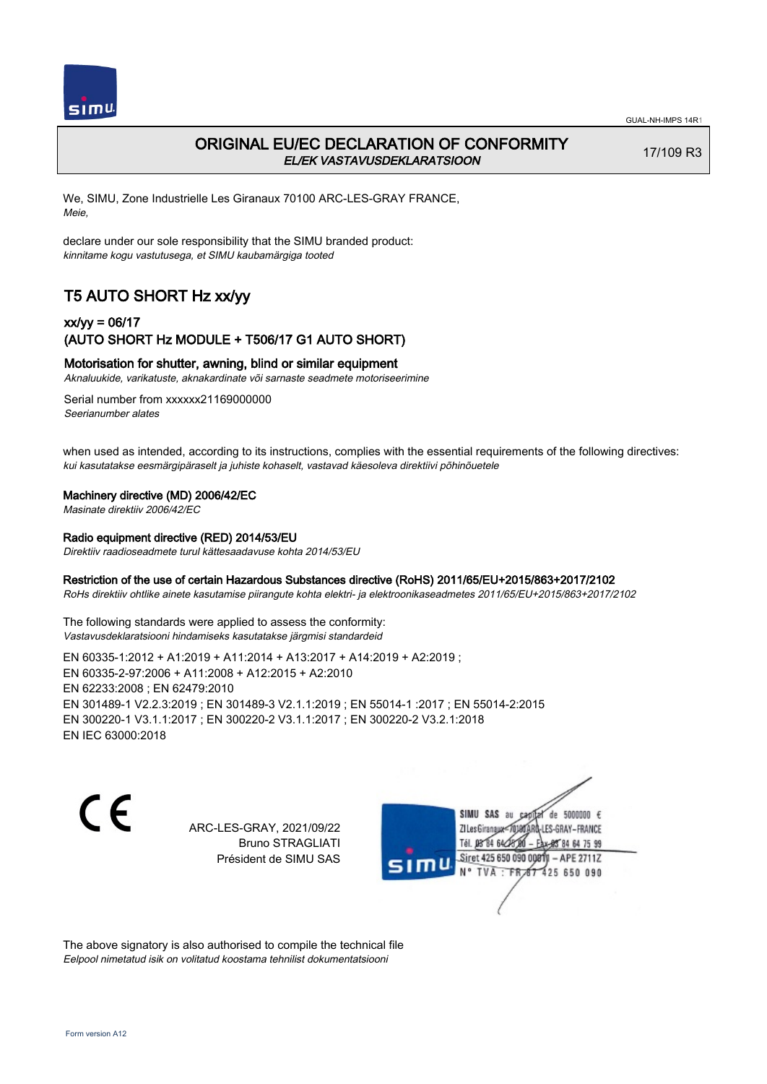

# ORIGINAL EU/EC DECLARATION OF CONFORMITY EL/EK VASTAVUSDEKLARATSIOON

17/109 R3

We, SIMU, Zone Industrielle Les Giranaux 70100 ARC-LES-GRAY FRANCE, Meie,

declare under our sole responsibility that the SIMU branded product: kinnitame kogu vastutusega, et SIMU kaubamärgiga tooted

# T5 AUTO SHORT Hz xx/yy

## xx/yy = 06/17 (AUTO SHORT Hz MODULE + T506/17 G1 AUTO SHORT)

### Motorisation for shutter, awning, blind or similar equipment

Aknaluukide, varikatuste, aknakardinate või sarnaste seadmete motoriseerimine

Serial number from xxxxxx21169000000 Seerianumber alates

when used as intended, according to its instructions, complies with the essential requirements of the following directives: kui kasutatakse eesmärgipäraselt ja juhiste kohaselt, vastavad käesoleva direktiivi põhinõuetele

#### Machinery directive (MD) 2006/42/EC

Masinate direktiiv 2006/42/EC

#### Radio equipment directive (RED) 2014/53/EU

Direktiiv raadioseadmete turul kättesaadavuse kohta 2014/53/EU

#### Restriction of the use of certain Hazardous Substances directive (RoHS) 2011/65/EU+2015/863+2017/2102

RoHs direktiiv ohtlike ainete kasutamise piirangute kohta elektri- ja elektroonikaseadmetes 2011/65/EU+2015/863+2017/2102

The following standards were applied to assess the conformity: Vastavusdeklaratsiooni hindamiseks kasutatakse järgmisi standardeid

EN 60335‑1:2012 + A1:2019 + A11:2014 + A13:2017 + A14:2019 + A2:2019 ; EN 60335‑2‑97:2006 + A11:2008 + A12:2015 + A2:2010 EN 62233:2008 ; EN 62479:2010 EN 301489‑1 V2.2.3:2019 ; EN 301489‑3 V2.1.1:2019 ; EN 55014‑1 :2017 ; EN 55014‑2:2015 EN 300220‑1 V3.1.1:2017 ; EN 300220‑2 V3.1.1:2017 ; EN 300220‑2 V3.2.1:2018 EN IEC 63000:2018

 $\epsilon$ 

ARC-LES-GRAY, 2021/09/22 Bruno STRAGLIATI Président de SIMU SAS

de 5000000  $\epsilon$ SIMU SAS au ZI Les Giranaux<sup>2</sup> ES-GRAY-FRANCE Tél. 08 84 64 2 64 75 99 Siret 425 650 090 00811  $-$  APF 27117 125 650 090

The above signatory is also authorised to compile the technical file Eelpool nimetatud isik on volitatud koostama tehnilist dokumentatsiooni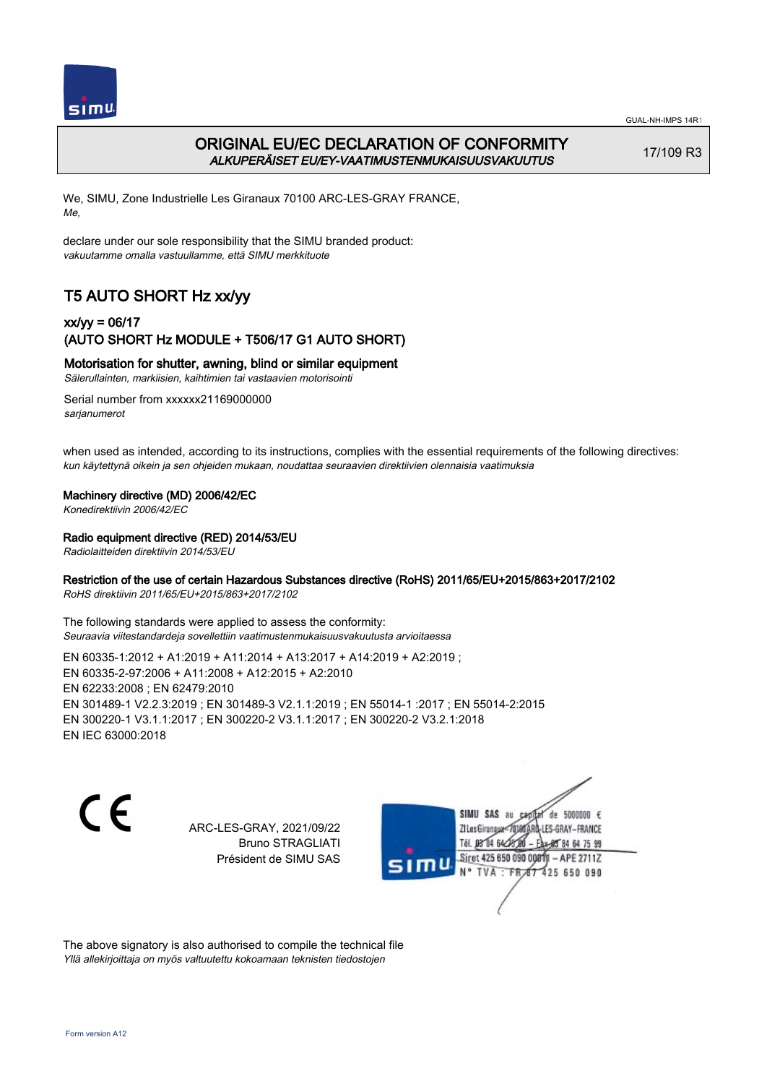

# ORIGINAL EU/EC DECLARATION OF CONFORMITY ALKUPERÄISET EU/EY-VAATIMUSTENMUKAISUUSVAKUUTUS

17/109 R3

We, SIMU, Zone Industrielle Les Giranaux 70100 ARC-LES-GRAY FRANCE, Me,

declare under our sole responsibility that the SIMU branded product: vakuutamme omalla vastuullamme, että SIMU merkkituote

# T5 AUTO SHORT Hz xx/yy

## xx/yy = 06/17 (AUTO SHORT Hz MODULE + T506/17 G1 AUTO SHORT)

Motorisation for shutter, awning, blind or similar equipment

Sälerullainten, markiisien, kaihtimien tai vastaavien motorisointi

Serial number from xxxxxx21169000000 sarianumerot

when used as intended, according to its instructions, complies with the essential requirements of the following directives: kun käytettynä oikein ja sen ohjeiden mukaan, noudattaa seuraavien direktiivien olennaisia vaatimuksia

#### Machinery directive (MD) 2006/42/EC

Konedirektiivin 2006/42/EC

#### Radio equipment directive (RED) 2014/53/EU

Radiolaitteiden direktiivin 2014/53/EU

### Restriction of the use of certain Hazardous Substances directive (RoHS) 2011/65/EU+2015/863+2017/2102

RoHS direktiivin 2011/65/EU+2015/863+2017/2102

The following standards were applied to assess the conformity: Seuraavia viitestandardeja sovellettiin vaatimustenmukaisuusvakuutusta arvioitaessa

EN 60335‑1:2012 + A1:2019 + A11:2014 + A13:2017 + A14:2019 + A2:2019 ; EN 60335‑2‑97:2006 + A11:2008 + A12:2015 + A2:2010 EN 62233:2008 ; EN 62479:2010 EN 301489‑1 V2.2.3:2019 ; EN 301489‑3 V2.1.1:2019 ; EN 55014‑1 :2017 ; EN 55014‑2:2015 EN 300220‑1 V3.1.1:2017 ; EN 300220‑2 V3.1.1:2017 ; EN 300220‑2 V3.2.1:2018 EN IEC 63000:2018

C F

ARC-LES-GRAY, 2021/09/22 Bruno STRAGLIATI Président de SIMU SAS

de 5000000  $\epsilon$ SIMU SAS au ZI Les Giranaux<sup>2</sup> ES-GRAY-FRANCE Tél. 08 84 64 2 64 75 99 Siret 425 650 090 00811  $-$  APF 27117 125 650 090

The above signatory is also authorised to compile the technical file Yllä allekirjoittaja on myös valtuutettu kokoamaan teknisten tiedostojen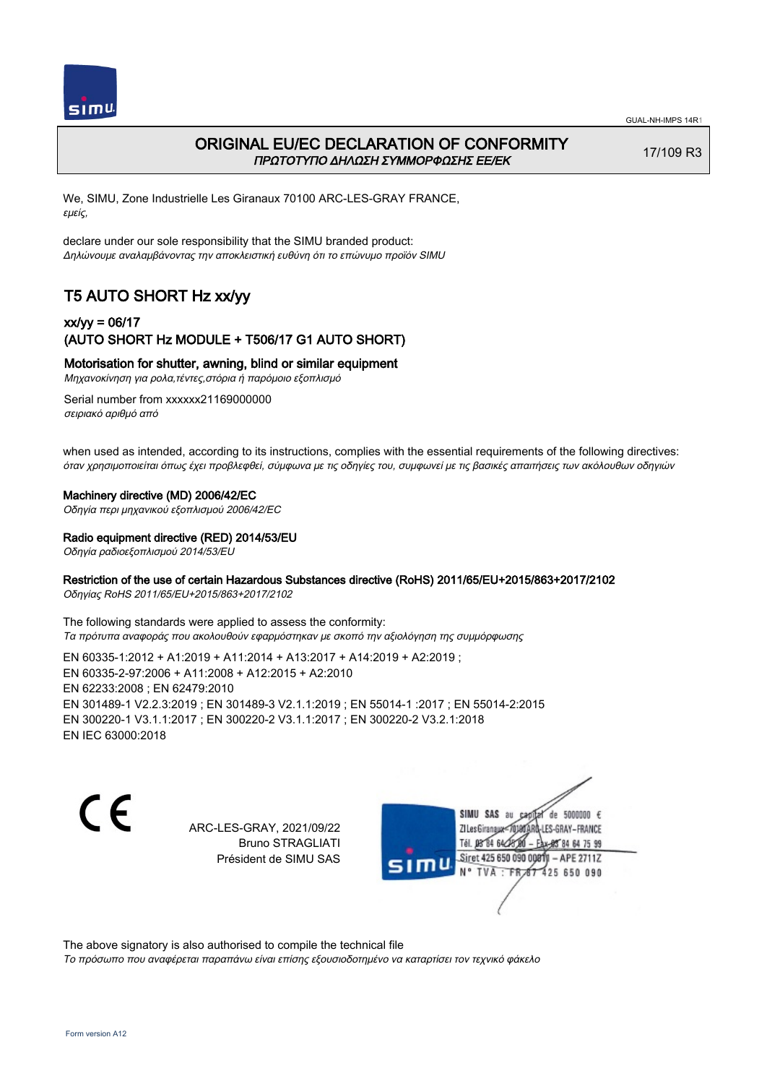



## ORIGINAL EU/EC DECLARATION OF CONFORMITY ΠΡΩΤΟΤΥΠΟ ΔΗΛΩΣΗ ΣΥΜΜΟΡΦΩΣΗΣ ΕΕ/EK

17/109 R3

We, SIMU, Zone Industrielle Les Giranaux 70100 ARC-LES-GRAY FRANCE, εμείς,

declare under our sole responsibility that the SIMU branded product: Δηλώνουμε αναλαμβάνοντας την αποκλειστική ευθύνη ότι το επώνυμο προϊόν SIMU

# T5 AUTO SHORT Hz xx/yy

## xx/yy = 06/17 (AUTO SHORT Hz MODULE + T506/17 G1 AUTO SHORT)

Motorisation for shutter, awning, blind or similar equipment

Μηχανοκίνηση για ρολα,τέντες,στόρια ή παρόμοιο εξοπλισμό

Serial number from xxxxxx21169000000 σειριακό αριθμό από

when used as intended, according to its instructions, complies with the essential requirements of the following directives: όταν χρησιμοποιείται όπως έχει προβλεφθεί, σύμφωνα με τις οδηγίες του, συμφωνεί με τις βασικές απαιτήσεις των ακόλουθων οδηγιών

#### Machinery directive (MD) 2006/42/EC

Οδηγία περι μηχανικού εξοπλισμού 2006/42/EC

Radio equipment directive (RED) 2014/53/EU

Οδηγία ραδιοεξοπλισμού 2014/53/EU

### Restriction of the use of certain Hazardous Substances directive (RoHS) 2011/65/EU+2015/863+2017/2102

Οδηγίας RoHS 2011/65/EU+2015/863+2017/2102

The following standards were applied to assess the conformity: Τα πρότυπα αναφοράς που ακολουθούν εφαρμόστηκαν με σκοπό την αξιολόγηση της συμμόρφωσης

EN 60335‑1:2012 + A1:2019 + A11:2014 + A13:2017 + A14:2019 + A2:2019 ; EN 60335‑2‑97:2006 + A11:2008 + A12:2015 + A2:2010 EN 62233:2008 ; EN 62479:2010 EN 301489‑1 V2.2.3:2019 ; EN 301489‑3 V2.1.1:2019 ; EN 55014‑1 :2017 ; EN 55014‑2:2015 EN 300220‑1 V3.1.1:2017 ; EN 300220‑2 V3.1.1:2017 ; EN 300220‑2 V3.2.1:2018 EN IEC 63000:2018

C F

ARC-LES-GRAY, 2021/09/22 Bruno STRAGLIATI Président de SIMU SAS

de 5000000  $\epsilon$ SIMU SAS au ZI Les Giranaux-70180 LES-GRAY-FRANCE THE DR R4 64/28 64 75 99 Siret 425 650 090 00811  $-$  APF 27117 125 650 090

The above signatory is also authorised to compile the technical file

Το πρόσωπο που αναφέρεται παραπάνω είναι επίσης εξουσιοδοτημένο να καταρτίσει τον τεχνικό φάκελο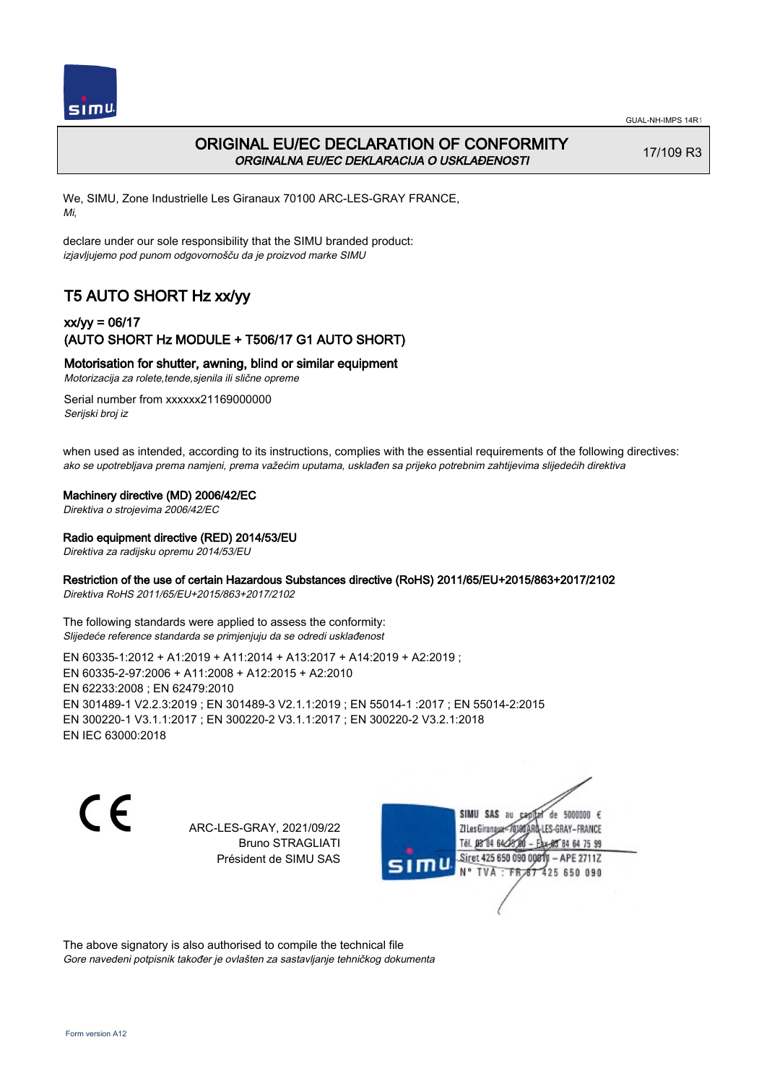

# ORIGINAL EU/EC DECLARATION OF CONFORMITY ORGINALNA EU/EC DEKLARACIJA O USKLAĐENOSTI

17/109 R3

We, SIMU, Zone Industrielle Les Giranaux 70100 ARC-LES-GRAY FRANCE, Mi,

declare under our sole responsibility that the SIMU branded product: izjavljujemo pod punom odgovornošču da je proizvod marke SIMU

# T5 AUTO SHORT Hz xx/yy

## xx/yy = 06/17 (AUTO SHORT Hz MODULE + T506/17 G1 AUTO SHORT)

## Motorisation for shutter, awning, blind or similar equipment

Motorizacija za rolete,tende,sjenila ili slične opreme

Serial number from xxxxxx21169000000 Serijski broj iz

when used as intended, according to its instructions, complies with the essential requirements of the following directives: ako se upotrebljava prema namjeni, prema važećim uputama, usklađen sa prijeko potrebnim zahtijevima slijedećih direktiva

#### Machinery directive (MD) 2006/42/EC

Direktiva o strojevima 2006/42/EC

#### Radio equipment directive (RED) 2014/53/EU

Direktiva za radijsku opremu 2014/53/EU

### Restriction of the use of certain Hazardous Substances directive (RoHS) 2011/65/EU+2015/863+2017/2102

Direktiva RoHS 2011/65/EU+2015/863+2017/2102

The following standards were applied to assess the conformity: Slijedeće reference standarda se primjenjuju da se odredi usklađenost

EN 60335‑1:2012 + A1:2019 + A11:2014 + A13:2017 + A14:2019 + A2:2019 ; EN 60335‑2‑97:2006 + A11:2008 + A12:2015 + A2:2010 EN 62233:2008 ; EN 62479:2010 EN 301489‑1 V2.2.3:2019 ; EN 301489‑3 V2.1.1:2019 ; EN 55014‑1 :2017 ; EN 55014‑2:2015 EN 300220‑1 V3.1.1:2017 ; EN 300220‑2 V3.1.1:2017 ; EN 300220‑2 V3.2.1:2018 EN IEC 63000:2018

C F

ARC-LES-GRAY, 2021/09/22 Bruno STRAGLIATI Président de SIMU SAS

de 5000000  $\epsilon$ SIMU SAS au ZI Les Giranaux</D LES-GRAY-FRANCE Tél. 08 R4 64 2 64 75 99 Siret 425 650 090 00811  $-$  APF 27117 125 650 090

The above signatory is also authorised to compile the technical file Gore navedeni potpisnik također je ovlašten za sastavljanje tehničkog dokumenta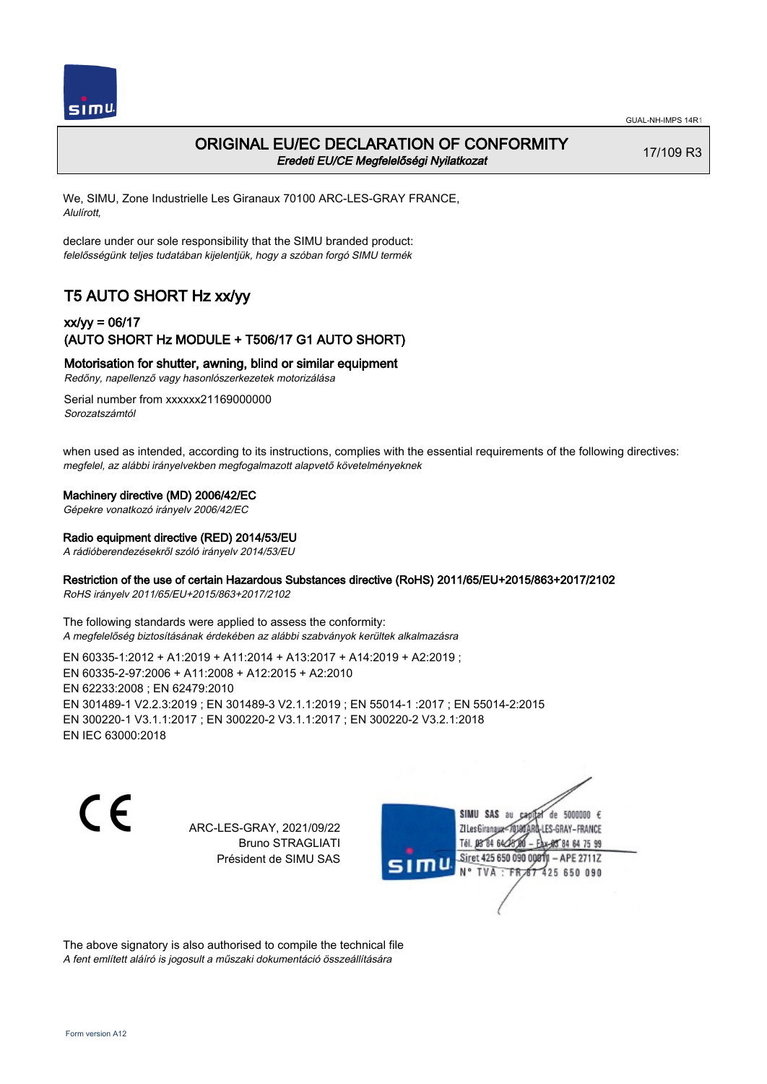

## ORIGINAL EU/EC DECLARATION OF CONFORMITY Eredeti EU/CE Megfelelőségi Nyilatkozat

17/109 R3

We, SIMU, Zone Industrielle Les Giranaux 70100 ARC-LES-GRAY FRANCE, Alulírott,

declare under our sole responsibility that the SIMU branded product: felelősségünk teljes tudatában kijelentjük, hogy a szóban forgó SIMU termék

# T5 AUTO SHORT Hz xx/yy

## xx/yy = 06/17 (AUTO SHORT Hz MODULE + T506/17 G1 AUTO SHORT)

Motorisation for shutter, awning, blind or similar equipment

Redőny, napellenző vagy hasonlószerkezetek motorizálása

Serial number from xxxxxx21169000000 Sorozatszámtól

when used as intended, according to its instructions, complies with the essential requirements of the following directives: megfelel, az alábbi irányelvekben megfogalmazott alapvető követelményeknek

#### Machinery directive (MD) 2006/42/EC

Gépekre vonatkozó irányelv 2006/42/EC

#### Radio equipment directive (RED) 2014/53/EU

A rádióberendezésekről szóló irányelv 2014/53/EU

## Restriction of the use of certain Hazardous Substances directive (RoHS) 2011/65/EU+2015/863+2017/2102

RoHS irányelv 2011/65/EU+2015/863+2017/2102

The following standards were applied to assess the conformity: A megfelelőség biztosításának érdekében az alábbi szabványok kerültek alkalmazásra

EN 60335‑1:2012 + A1:2019 + A11:2014 + A13:2017 + A14:2019 + A2:2019 ; EN 60335‑2‑97:2006 + A11:2008 + A12:2015 + A2:2010 EN 62233:2008 ; EN 62479:2010 EN 301489‑1 V2.2.3:2019 ; EN 301489‑3 V2.1.1:2019 ; EN 55014‑1 :2017 ; EN 55014‑2:2015 EN 300220‑1 V3.1.1:2017 ; EN 300220‑2 V3.1.1:2017 ; EN 300220‑2 V3.2.1:2018 EN IEC 63000:2018

C F

ARC-LES-GRAY, 2021/09/22 Bruno STRAGLIATI Président de SIMU SAS

de 5000000  $\epsilon$ SIMU SAS au ZI Les Giranaux< LES-GRAY-FRANCE Tél. 08 84 64 2 64 75 99 Siret 425 650 090 00811  $-$  APF 27117 125 650 090

The above signatory is also authorised to compile the technical file A fent említett aláíró is jogosult a műszaki dokumentáció összeállítására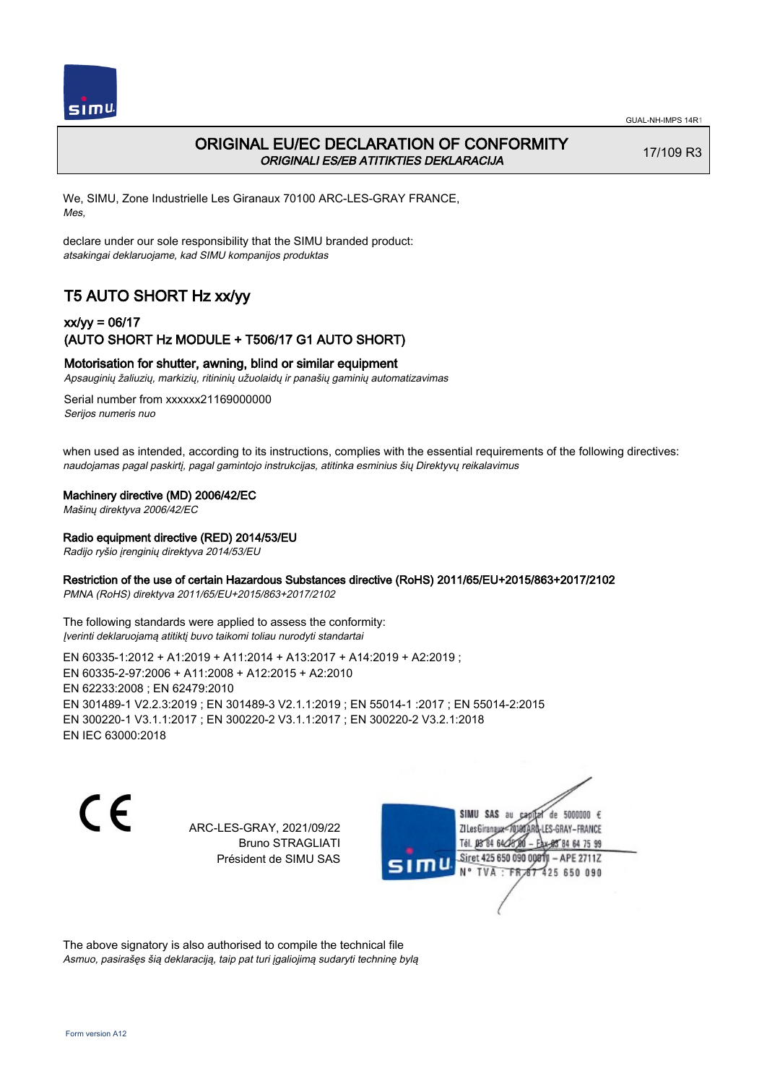

# ORIGINAL EU/EC DECLARATION OF CONFORMITY ORIGINALI ES/EB ATITIKTIES DEKLARACIJA

17/109 R3

We, SIMU, Zone Industrielle Les Giranaux 70100 ARC-LES-GRAY FRANCE, Mes,

declare under our sole responsibility that the SIMU branded product: atsakingai deklaruojame, kad SIMU kompanijos produktas

# T5 AUTO SHORT Hz xx/yy

## xx/yy = 06/17 (AUTO SHORT Hz MODULE + T506/17 G1 AUTO SHORT)

### Motorisation for shutter, awning, blind or similar equipment

Apsauginių žaliuzių, markizių, ritininių užuolaidų ir panašių gaminių automatizavimas

Serial number from xxxxxx21169000000 Serijos numeris nuo

when used as intended, according to its instructions, complies with the essential requirements of the following directives: naudojamas pagal paskirtį, pagal gamintojo instrukcijas, atitinka esminius šių Direktyvų reikalavimus

#### Machinery directive (MD) 2006/42/EC

Mašinų direktyva 2006/42/EC

#### Radio equipment directive (RED) 2014/53/EU

Radijo ryšio įrenginių direktyva 2014/53/EU

#### Restriction of the use of certain Hazardous Substances directive (RoHS) 2011/65/EU+2015/863+2017/2102

PMNA (RoHS) direktyva 2011/65/EU+2015/863+2017/2102

The following standards were applied to assess the conformity: Įverinti deklaruojamą atitiktį buvo taikomi toliau nurodyti standartai

EN 60335‑1:2012 + A1:2019 + A11:2014 + A13:2017 + A14:2019 + A2:2019 ; EN 60335‑2‑97:2006 + A11:2008 + A12:2015 + A2:2010 EN 62233:2008 ; EN 62479:2010 EN 301489‑1 V2.2.3:2019 ; EN 301489‑3 V2.1.1:2019 ; EN 55014‑1 :2017 ; EN 55014‑2:2015 EN 300220‑1 V3.1.1:2017 ; EN 300220‑2 V3.1.1:2017 ; EN 300220‑2 V3.2.1:2018 EN IEC 63000:2018

 $\epsilon$ 

ARC-LES-GRAY, 2021/09/22 Bruno STRAGLIATI Président de SIMU SAS

de 5000000  $\epsilon$ SIMU SAS au ZI Les Giranaux-70180 LES-GRAY-FRANCE Tél. 08 R4 64 24 64 75 99 Siret 425 650 090 0081  $-$  APF 27117 **TVA · FR** 125 650 090

The above signatory is also authorised to compile the technical file Asmuo, pasirašęs šią deklaraciją, taip pat turi įgaliojimą sudaryti techninę bylą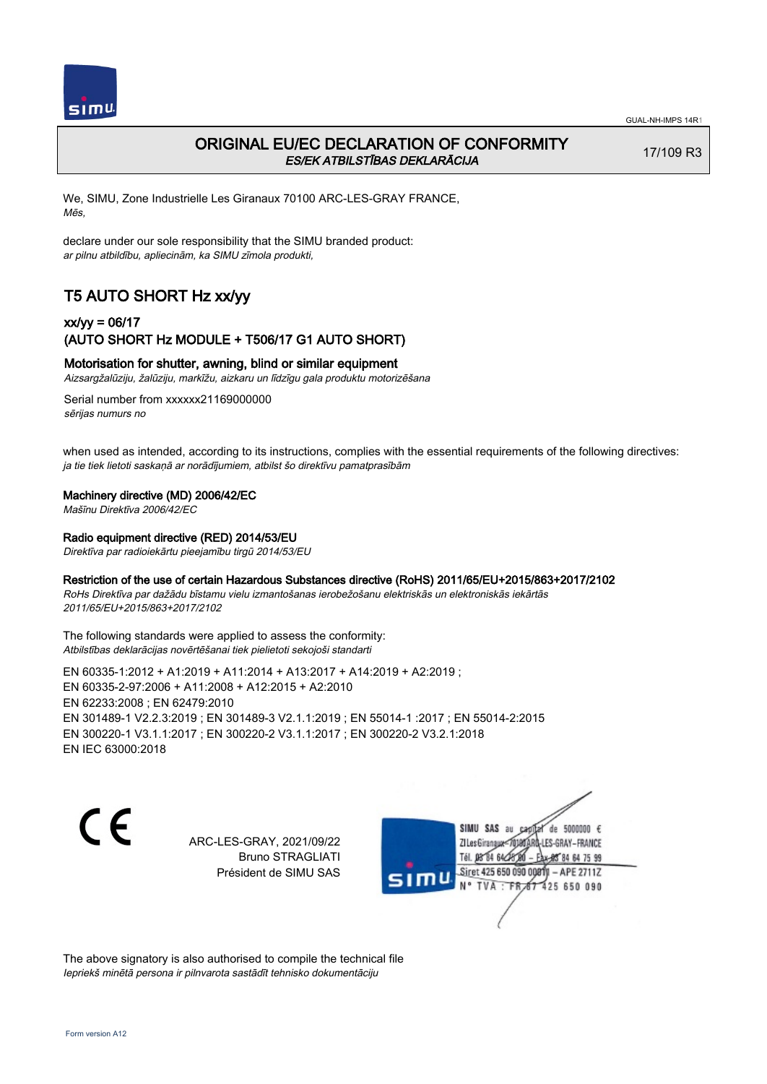

# ORIGINAL EU/EC DECLARATION OF CONFORMITY ES/EK ATBILSTĪBAS DEKLARĀCIJA

17/109 R3

We, SIMU, Zone Industrielle Les Giranaux 70100 ARC-LES-GRAY FRANCE, Mēs,

declare under our sole responsibility that the SIMU branded product: ar pilnu atbildību, apliecinām, ka SIMU zīmola produkti,

# T5 AUTO SHORT Hz xx/yy

## xx/yy = 06/17 (AUTO SHORT Hz MODULE + T506/17 G1 AUTO SHORT)

## Motorisation for shutter, awning, blind or similar equipment

Aizsargžalūziju, žalūziju, markīžu, aizkaru un līdzīgu gala produktu motorizēšana

Serial number from xxxxxx21169000000 sērijas numurs no

when used as intended, according to its instructions, complies with the essential requirements of the following directives: ja tie tiek lietoti saskaņā ar norādījumiem, atbilst šo direktīvu pamatprasībām

#### Machinery directive (MD) 2006/42/EC

Mašīnu Direktīva 2006/42/EC

#### Radio equipment directive (RED) 2014/53/EU

Direktīva par radioiekārtu pieejamību tirgū 2014/53/EU

## Restriction of the use of certain Hazardous Substances directive (RoHS) 2011/65/EU+2015/863+2017/2102

RoHs Direktīva par dažādu bīstamu vielu izmantošanas ierobežošanu elektriskās un elektroniskās iekārtās 2011/65/EU+2015/863+2017/2102

The following standards were applied to assess the conformity: Atbilstības deklarācijas novērtēšanai tiek pielietoti sekojoši standarti

EN 60335‑1:2012 + A1:2019 + A11:2014 + A13:2017 + A14:2019 + A2:2019 ; EN 60335‑2‑97:2006 + A11:2008 + A12:2015 + A2:2010 EN 62233:2008 ; EN 62479:2010 EN 301489‑1 V2.2.3:2019 ; EN 301489‑3 V2.1.1:2019 ; EN 55014‑1 :2017 ; EN 55014‑2:2015 EN 300220‑1 V3.1.1:2017 ; EN 300220‑2 V3.1.1:2017 ; EN 300220‑2 V3.2.1:2018 EN IEC 63000:2018

 $\epsilon$ 

ARC-LES-GRAY, 2021/09/22 Bruno STRAGLIATI Président de SIMU SAS



The above signatory is also authorised to compile the technical file Iepriekš minētā persona ir pilnvarota sastādīt tehnisko dokumentāciju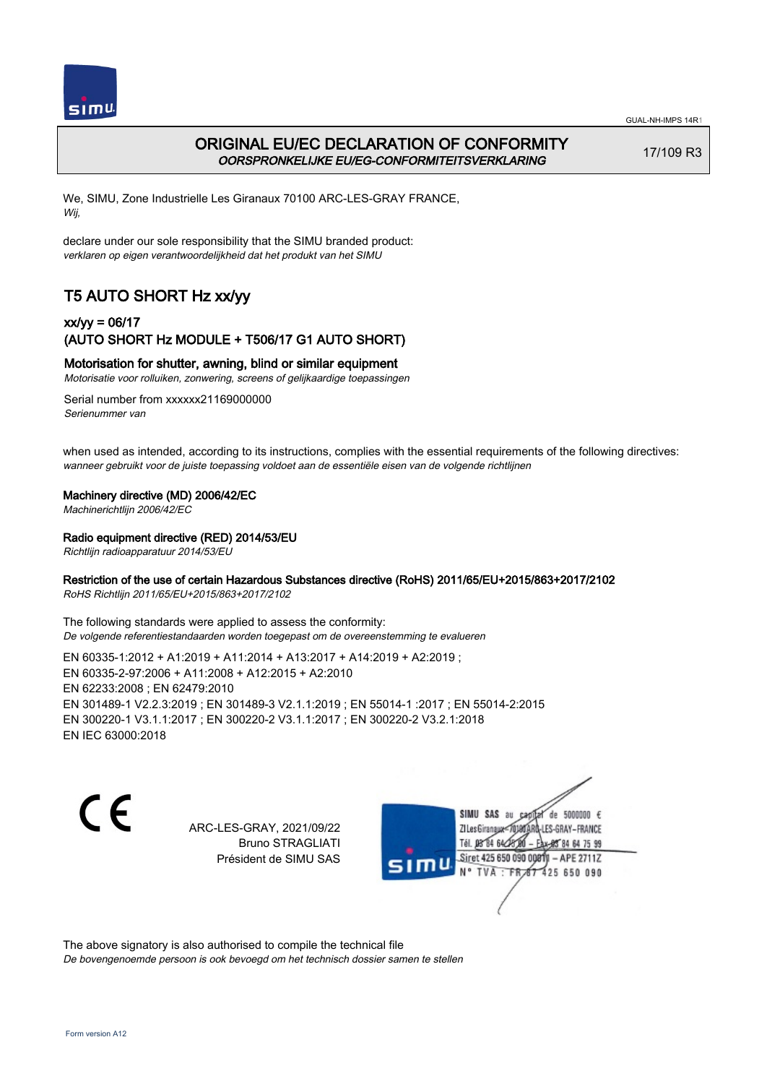

# ORIGINAL EU/EC DECLARATION OF CONFORMITY OORSPRONKELIJKE EU/EG-CONFORMITEITSVERKLARING

17/109 R3

We, SIMU, Zone Industrielle Les Giranaux 70100 ARC-LES-GRAY FRANCE, Wij,

declare under our sole responsibility that the SIMU branded product: verklaren op eigen verantwoordelijkheid dat het produkt van het SIMU

# T5 AUTO SHORT Hz xx/yy

## xx/yy = 06/17 (AUTO SHORT Hz MODULE + T506/17 G1 AUTO SHORT)

### Motorisation for shutter, awning, blind or similar equipment

Motorisatie voor rolluiken, zonwering, screens of gelijkaardige toepassingen

Serial number from xxxxxx21169000000 Serienummer van

when used as intended, according to its instructions, complies with the essential requirements of the following directives: wanneer gebruikt voor de juiste toepassing voldoet aan de essentiële eisen van de volgende richtlijnen

#### Machinery directive (MD) 2006/42/EC

Machinerichtlijn 2006/42/EC

#### Radio equipment directive (RED) 2014/53/EU

Richtlijn radioapparatuur 2014/53/EU

### Restriction of the use of certain Hazardous Substances directive (RoHS) 2011/65/EU+2015/863+2017/2102

RoHS Richtlijn 2011/65/EU+2015/863+2017/2102

The following standards were applied to assess the conformity: De volgende referentiestandaarden worden toegepast om de overeenstemming te evalueren

EN 60335‑1:2012 + A1:2019 + A11:2014 + A13:2017 + A14:2019 + A2:2019 ; EN 60335‑2‑97:2006 + A11:2008 + A12:2015 + A2:2010 EN 62233:2008 ; EN 62479:2010 EN 301489‑1 V2.2.3:2019 ; EN 301489‑3 V2.1.1:2019 ; EN 55014‑1 :2017 ; EN 55014‑2:2015 EN 300220‑1 V3.1.1:2017 ; EN 300220‑2 V3.1.1:2017 ; EN 300220‑2 V3.2.1:2018 EN IEC 63000:2018

C F

ARC-LES-GRAY, 2021/09/22 Bruno STRAGLIATI Président de SIMU SAS

de 5000000  $\epsilon$ SIMU SAS au ZI Les Giranaux< LES-GRAY-FRANCE Tél. 08 R4 64 2 64 75 99 Siret 425 650 090 00811  $-$  APF 27117 125 650 090

The above signatory is also authorised to compile the technical file De bovengenoemde persoon is ook bevoegd om het technisch dossier samen te stellen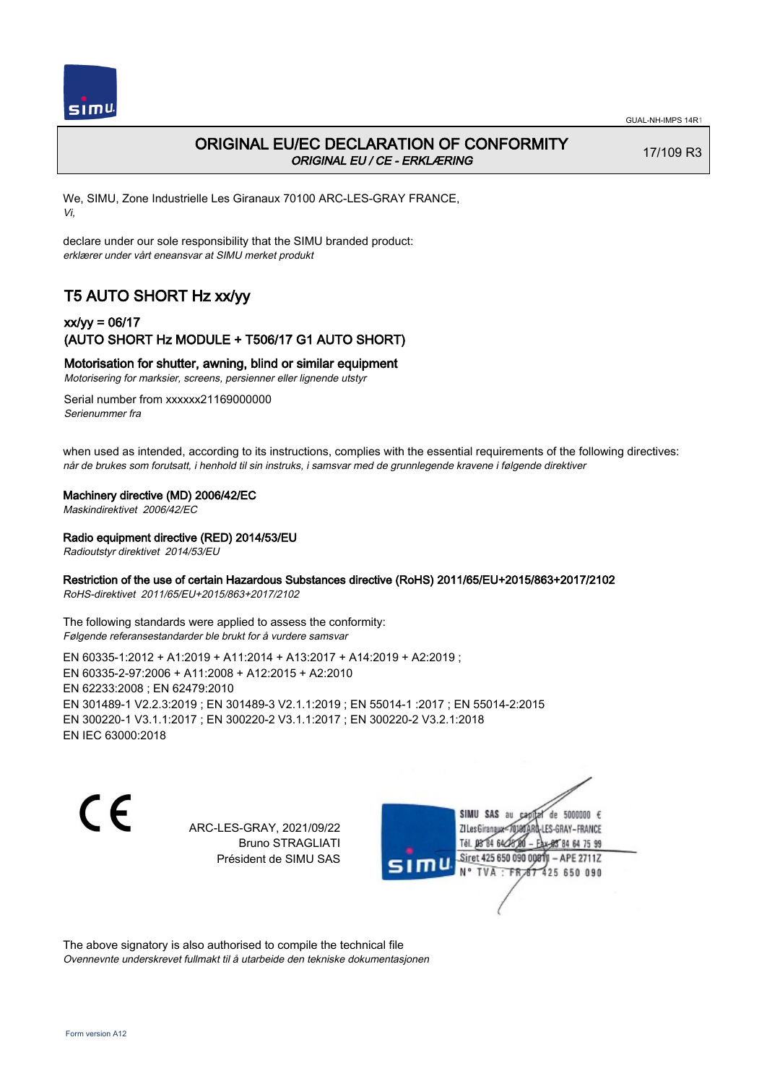

# ORIGINAL EU/EC DECLARATION OF CONFORMITY ORIGINAL EU / CE - ERKLÆRING

17/109 R3

We, SIMU, Zone Industrielle Les Giranaux 70100 ARC-LES-GRAY FRANCE, Vi,

declare under our sole responsibility that the SIMU branded product: erklærer under vårt eneansvar at SIMU merket produkt

# T5 AUTO SHORT Hz xx/yy

## xx/yy = 06/17 (AUTO SHORT Hz MODULE + T506/17 G1 AUTO SHORT)

## Motorisation for shutter, awning, blind or similar equipment

Motorisering for marksier, screens, persienner eller lignende utstyr

Serial number from xxxxxx21169000000 Serienummer fra

when used as intended, according to its instructions, complies with the essential requirements of the following directives: når de brukes som forutsatt, i henhold til sin instruks, i samsvar med de grunnlegende kravene i følgende direktiver

#### Machinery directive (MD) 2006/42/EC

Maskindirektivet 2006/42/EC

#### Radio equipment directive (RED) 2014/53/EU

Radioutstyr direktivet 2014/53/EU

### Restriction of the use of certain Hazardous Substances directive (RoHS) 2011/65/EU+2015/863+2017/2102

RoHS-direktivet 2011/65/EU+2015/863+2017/2102

The following standards were applied to assess the conformity: Følgende referansestandarder ble brukt for å vurdere samsvar

EN 60335‑1:2012 + A1:2019 + A11:2014 + A13:2017 + A14:2019 + A2:2019 ; EN 60335‑2‑97:2006 + A11:2008 + A12:2015 + A2:2010 EN 62233:2008 ; EN 62479:2010 EN 301489‑1 V2.2.3:2019 ; EN 301489‑3 V2.1.1:2019 ; EN 55014‑1 :2017 ; EN 55014‑2:2015 EN 300220‑1 V3.1.1:2017 ; EN 300220‑2 V3.1.1:2017 ; EN 300220‑2 V3.2.1:2018 EN IEC 63000:2018

C F

ARC-LES-GRAY, 2021/09/22 Bruno STRAGLIATI Président de SIMU SAS

de 5000000  $\epsilon$ SIMU SAS au ZI Les Giranaux< ES-GRAY-FRANCE Tél. 08 84 64 2 64 75 99 Siret 425 650 090 00811  $-$  APF 27117 125 650 090

The above signatory is also authorised to compile the technical file Ovennevnte underskrevet fullmakt til å utarbeide den tekniske dokumentasjonen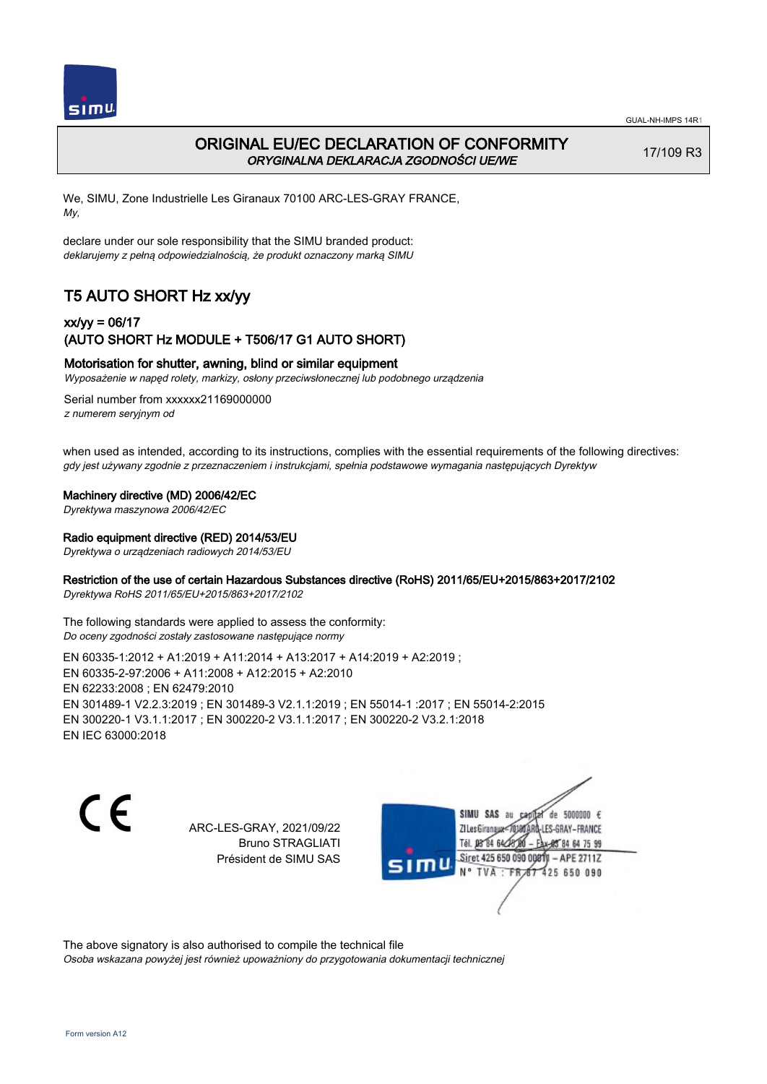

# ORIGINAL EU/EC DECLARATION OF CONFORMITY ORYGINALNA DEKLARACJA ZGODNOŚCI UE/WE

17/109 R3

We, SIMU, Zone Industrielle Les Giranaux 70100 ARC-LES-GRAY FRANCE, My,

declare under our sole responsibility that the SIMU branded product: deklarujemy z pełną odpowiedzialnością, że produkt oznaczony marką SIMU

# T5 AUTO SHORT Hz xx/yy

## xx/yy = 06/17 (AUTO SHORT Hz MODULE + T506/17 G1 AUTO SHORT)

#### Motorisation for shutter, awning, blind or similar equipment

Wyposażenie w napęd rolety, markizy, osłony przeciwsłonecznej lub podobnego urządzenia

Serial number from xxxxxx21169000000 z numerem seryjnym od

when used as intended, according to its instructions, complies with the essential requirements of the following directives: gdy jest używany zgodnie z przeznaczeniem i instrukcjami, spełnia podstawowe wymagania następujących Dyrektyw

#### Machinery directive (MD) 2006/42/EC

Dyrektywa maszynowa 2006/42/EC

#### Radio equipment directive (RED) 2014/53/EU

Dyrektywa o urządzeniach radiowych 2014/53/EU

## Restriction of the use of certain Hazardous Substances directive (RoHS) 2011/65/EU+2015/863+2017/2102

Dyrektywa RoHS 2011/65/EU+2015/863+2017/2102

The following standards were applied to assess the conformity: Do oceny zgodności zostały zastosowane następujące normy

EN 60335‑1:2012 + A1:2019 + A11:2014 + A13:2017 + A14:2019 + A2:2019 ; EN 60335‑2‑97:2006 + A11:2008 + A12:2015 + A2:2010 EN 62233:2008 ; EN 62479:2010 EN 301489‑1 V2.2.3:2019 ; EN 301489‑3 V2.1.1:2019 ; EN 55014‑1 :2017 ; EN 55014‑2:2015 EN 300220‑1 V3.1.1:2017 ; EN 300220‑2 V3.1.1:2017 ; EN 300220‑2 V3.2.1:2018 EN IEC 63000:2018

C F

ARC-LES-GRAY, 2021/09/22 Bruno STRAGLIATI Président de SIMU SAS

de 5000000  $\epsilon$ SIMU SAS au ZI Les Giranaux-70180 LES-GRAY-FRANCE Tél. 08 R4 64 2 64 75 99 Siret 425 650 090 00811  $-$  APF 27117 125 650 090

The above signatory is also authorised to compile the technical file Osoba wskazana powyżej jest również upoważniony do przygotowania dokumentacji technicznej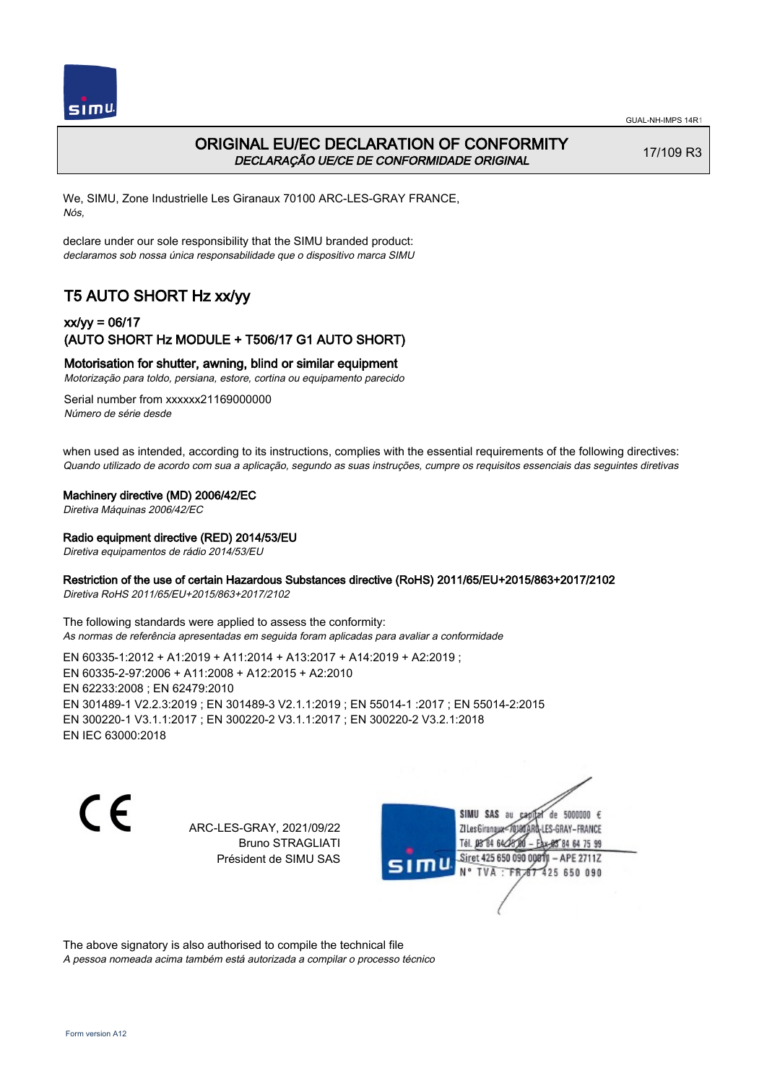



# ORIGINAL EU/EC DECLARATION OF CONFORMITY DECLARAÇÃO UE/CE DE CONFORMIDADE ORIGINAL

17/109 R3

We, SIMU, Zone Industrielle Les Giranaux 70100 ARC-LES-GRAY FRANCE, Nós,

declare under our sole responsibility that the SIMU branded product: declaramos sob nossa única responsabilidade que o dispositivo marca SIMU

# T5 AUTO SHORT Hz xx/yy

## xx/yy = 06/17 (AUTO SHORT Hz MODULE + T506/17 G1 AUTO SHORT)

#### Motorisation for shutter, awning, blind or similar equipment

Motorização para toldo, persiana, estore, cortina ou equipamento parecido

Serial number from xxxxxx21169000000 Número de série desde

when used as intended, according to its instructions, complies with the essential requirements of the following directives: Quando utilizado de acordo com sua a aplicação, segundo as suas instruções, cumpre os requisitos essenciais das seguintes diretivas

#### Machinery directive (MD) 2006/42/EC

Diretiva Máquinas 2006/42/EC

#### Radio equipment directive (RED) 2014/53/EU

Diretiva equipamentos de rádio 2014/53/EU

## Restriction of the use of certain Hazardous Substances directive (RoHS) 2011/65/EU+2015/863+2017/2102

Diretiva RoHS 2011/65/EU+2015/863+2017/2102

The following standards were applied to assess the conformity: As normas de referência apresentadas em seguida foram aplicadas para avaliar a conformidade

EN 60335‑1:2012 + A1:2019 + A11:2014 + A13:2017 + A14:2019 + A2:2019 ; EN 60335‑2‑97:2006 + A11:2008 + A12:2015 + A2:2010 EN 62233:2008 ; EN 62479:2010 EN 301489‑1 V2.2.3:2019 ; EN 301489‑3 V2.1.1:2019 ; EN 55014‑1 :2017 ; EN 55014‑2:2015 EN 300220‑1 V3.1.1:2017 ; EN 300220‑2 V3.1.1:2017 ; EN 300220‑2 V3.2.1:2018 EN IEC 63000:2018

C F

ARC-LES-GRAY, 2021/09/22 Bruno STRAGLIATI Président de SIMU SAS

de 5000000  $\epsilon$ SIMU SAS au ZI Les Giranaux< ES-GRAY-FRANCE Tél. 08 84 64 2 64 75 99 Siret 425 650 090 00811  $-$  APF 27117 125 650 090

The above signatory is also authorised to compile the technical file A pessoa nomeada acima também está autorizada a compilar o processo técnico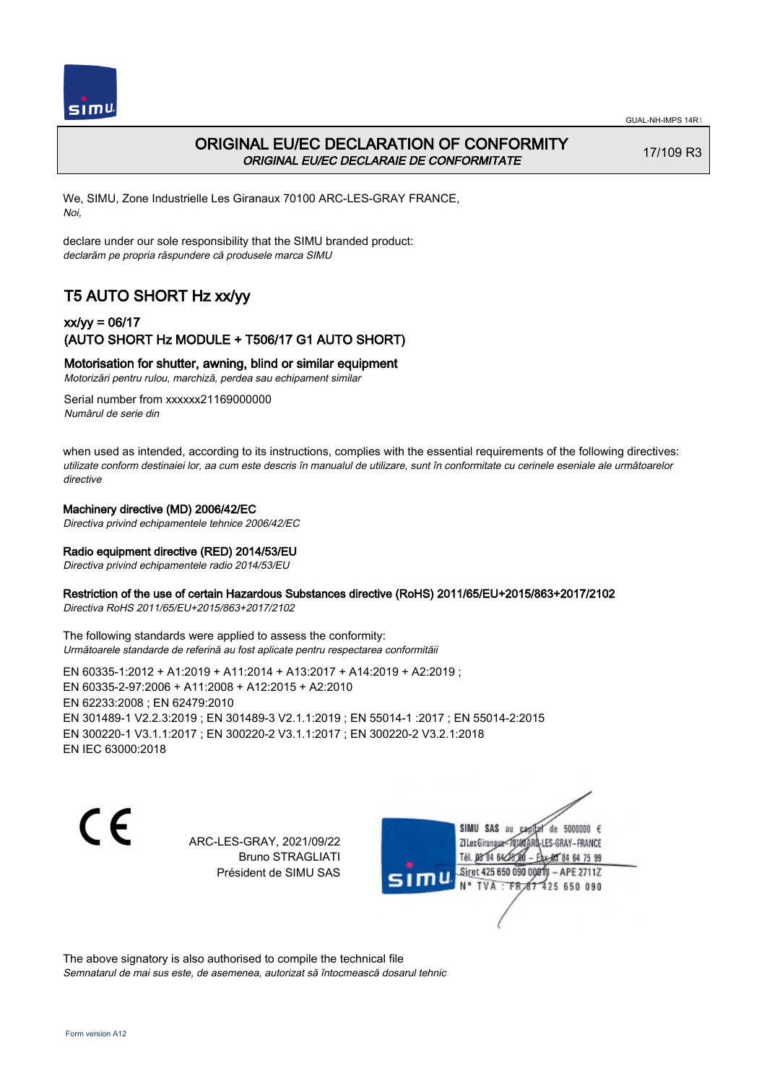

## ORIGINAL EU/EC DECLARATION OF CONFORMITY ORIGINAL EU/EC DECLARAIE DE CONFORMITATE

17/109 R3

We, SIMU, Zone Industrielle Les Giranaux 70100 ARC-LES-GRAY FRANCE, Noi,

declare under our sole responsibility that the SIMU branded product: declarăm pe propria răspundere că produsele marca SIMU

# T5 AUTO SHORT Hz xx/yy

## xx/yy = 06/17 (AUTO SHORT Hz MODULE + T506/17 G1 AUTO SHORT)

## Motorisation for shutter, awning, blind or similar equipment

Motorizări pentru rulou, marchiză, perdea sau echipament similar

Serial number from xxxxxx21169000000 Numărul de serie din

when used as intended, according to its instructions, complies with the essential requirements of the following directives: utilizate conform destinaiei lor, aa cum este descris în manualul de utilizare, sunt în conformitate cu cerinele eseniale ale următoarelor directive

#### Machinery directive (MD) 2006/42/EC

Directiva privind echipamentele tehnice 2006/42/EC

## Radio equipment directive (RED) 2014/53/EU

Directiva privind echipamentele radio 2014/53/EU

#### Restriction of the use of certain Hazardous Substances directive (RoHS) 2011/65/EU+2015/863+2017/2102

Directiva RoHS 2011/65/EU+2015/863+2017/2102

The following standards were applied to assess the conformity: Următoarele standarde de referină au fost aplicate pentru respectarea conformităii

EN 60335‑1:2012 + A1:2019 + A11:2014 + A13:2017 + A14:2019 + A2:2019 ; EN 60335‑2‑97:2006 + A11:2008 + A12:2015 + A2:2010 EN 62233:2008 ; EN 62479:2010 EN 301489‑1 V2.2.3:2019 ; EN 301489‑3 V2.1.1:2019 ; EN 55014‑1 :2017 ; EN 55014‑2:2015 EN 300220‑1 V3.1.1:2017 ; EN 300220‑2 V3.1.1:2017 ; EN 300220‑2 V3.2.1:2018 EN IEC 63000:2018

 $\epsilon$ 

ARC-LES-GRAY, 2021/09/22 Bruno STRAGLIATI Président de SIMU SAS

de 5000000 € SIMU SAS au ZI Les Giranaux< LES-GRAY-FRANCE Tél. 08 84 64 24 95 84 64 75 99 Siret 425 650 090 00811 - APE 2711Z  $TVA$ : FRAT 425 650 090

The above signatory is also authorised to compile the technical file Semnatarul de mai sus este, de asemenea, autorizat să întocmească dosarul tehnic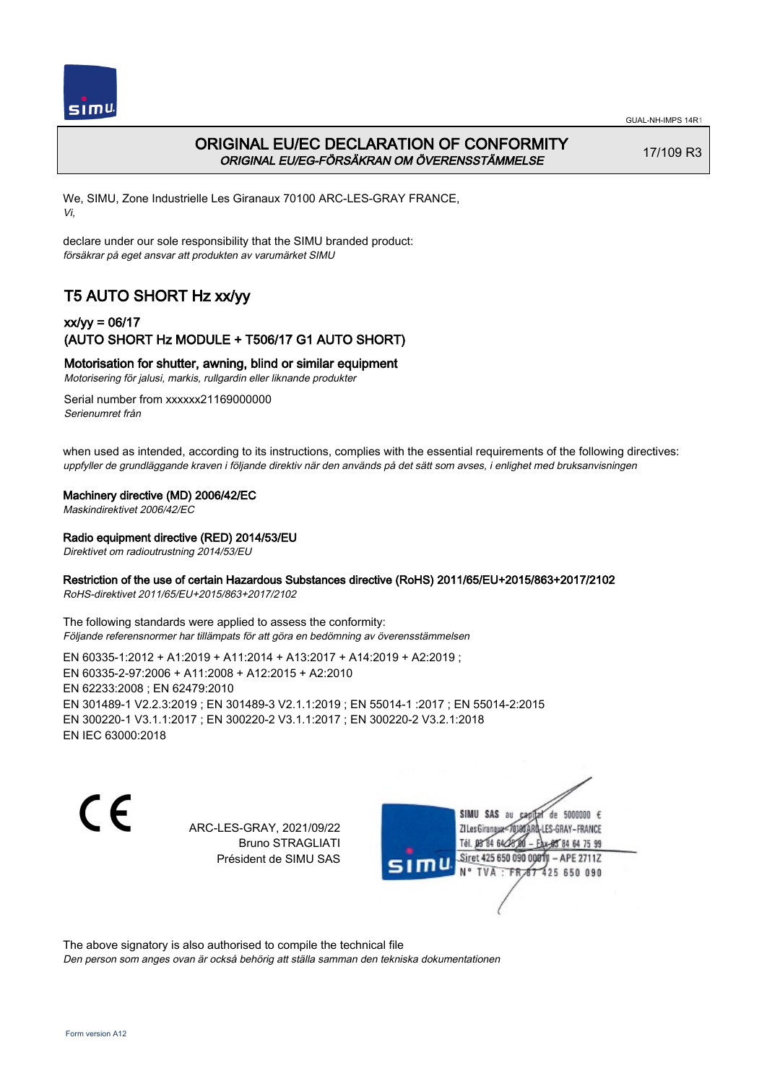

# ORIGINAL EU/EC DECLARATION OF CONFORMITY ORIGINAL EU/EG-FÖRSÄKRAN OM ÖVERENSSTÄMMELSE

17/109 R3

We, SIMU, Zone Industrielle Les Giranaux 70100 ARC-LES-GRAY FRANCE, Vi,

declare under our sole responsibility that the SIMU branded product: försäkrar på eget ansvar att produkten av varumärket SIMU

# T5 AUTO SHORT Hz xx/yy

## xx/yy = 06/17 (AUTO SHORT Hz MODULE + T506/17 G1 AUTO SHORT)

## Motorisation for shutter, awning, blind or similar equipment

Motorisering för jalusi, markis, rullgardin eller liknande produkter

Serial number from xxxxxx21169000000 Serienumret från

when used as intended, according to its instructions, complies with the essential requirements of the following directives: uppfyller de grundläggande kraven i följande direktiv när den används på det sätt som avses, i enlighet med bruksanvisningen

### Machinery directive (MD) 2006/42/EC

Maskindirektivet 2006/42/EC

#### Radio equipment directive (RED) 2014/53/EU

Direktivet om radioutrustning 2014/53/EU

### Restriction of the use of certain Hazardous Substances directive (RoHS) 2011/65/EU+2015/863+2017/2102

RoHS-direktivet 2011/65/EU+2015/863+2017/2102

The following standards were applied to assess the conformity: Följande referensnormer har tillämpats för att göra en bedömning av överensstämmelsen

EN 60335‑1:2012 + A1:2019 + A11:2014 + A13:2017 + A14:2019 + A2:2019 ; EN 60335‑2‑97:2006 + A11:2008 + A12:2015 + A2:2010 EN 62233:2008 ; EN 62479:2010 EN 301489‑1 V2.2.3:2019 ; EN 301489‑3 V2.1.1:2019 ; EN 55014‑1 :2017 ; EN 55014‑2:2015 EN 300220‑1 V3.1.1:2017 ; EN 300220‑2 V3.1.1:2017 ; EN 300220‑2 V3.2.1:2018 EN IEC 63000:2018

C F

ARC-LES-GRAY, 2021/09/22 Bruno STRAGLIATI Président de SIMU SAS

de 5000000  $\epsilon$ SIMU SAS au ZI Les Giranaux<sup>2</sup> ES-GRAY-FRANCE Tél. 08 84 64 2 64 75 99 Siret 425 650 090 00811  $-$  APF 27117 125 650 090

The above signatory is also authorised to compile the technical file

Den person som anges ovan är också behörig att ställa samman den tekniska dokumentationen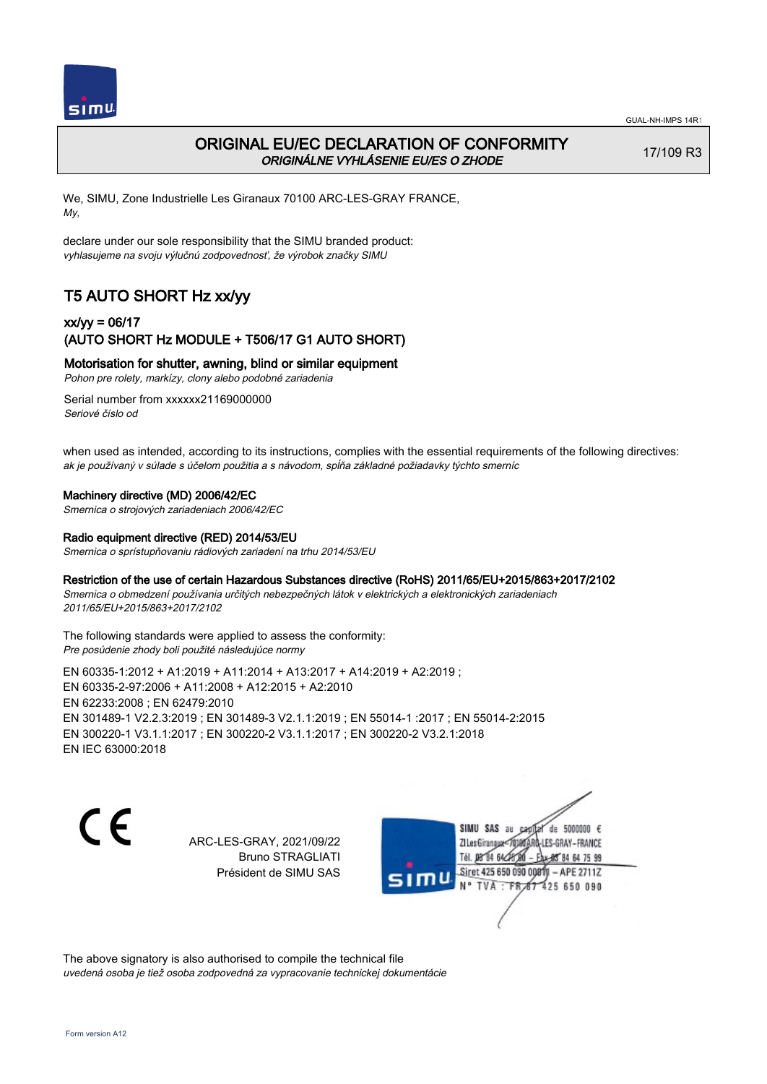

# ORIGINAL EU/EC DECLARATION OF CONFORMITY ORIGINÁLNE VYHLÁSENIE EU/ES O ZHODE

17/109 R3

We, SIMU, Zone Industrielle Les Giranaux 70100 ARC-LES-GRAY FRANCE, My,

declare under our sole responsibility that the SIMU branded product: vyhlasujeme na svoju výlučnú zodpovednosť, že výrobok značky SIMU

# T5 AUTO SHORT Hz xx/yy

## xx/yy = 06/17 (AUTO SHORT Hz MODULE + T506/17 G1 AUTO SHORT)

Motorisation for shutter, awning, blind or similar equipment

Pohon pre rolety, markízy, clony alebo podobné zariadenia

Serial number from xxxxxx21169000000 Seriové číslo od

when used as intended, according to its instructions, complies with the essential requirements of the following directives: ak je používaný v súlade s účelom použitia a s návodom, spĺňa základné požiadavky týchto smerníc

#### Machinery directive (MD) 2006/42/EC

Smernica o strojových zariadeniach 2006/42/EC

#### Radio equipment directive (RED) 2014/53/EU

Smernica o sprístupňovaniu rádiových zariadení na trhu 2014/53/EU

#### Restriction of the use of certain Hazardous Substances directive (RoHS) 2011/65/EU+2015/863+2017/2102

Smernica o obmedzení používania určitých nebezpečných látok v elektrických a elektronických zariadeniach 2011/65/EU+2015/863+2017/2102

#### The following standards were applied to assess the conformity: Pre posúdenie zhody boli použité následujúce normy

EN 60335‑1:2012 + A1:2019 + A11:2014 + A13:2017 + A14:2019 + A2:2019 ; EN 60335‑2‑97:2006 + A11:2008 + A12:2015 + A2:2010 EN 62233:2008 ; EN 62479:2010 EN 301489‑1 V2.2.3:2019 ; EN 301489‑3 V2.1.1:2019 ; EN 55014‑1 :2017 ; EN 55014‑2:2015 EN 300220‑1 V3.1.1:2017 ; EN 300220‑2 V3.1.1:2017 ; EN 300220‑2 V3.2.1:2018 EN IEC 63000:2018

 $\epsilon$ 

ARC-LES-GRAY, 2021/09/22 Bruno STRAGLIATI Président de SIMU SAS



The above signatory is also authorised to compile the technical file uvedená osoba je tiež osoba zodpovedná za vypracovanie technickej dokumentácie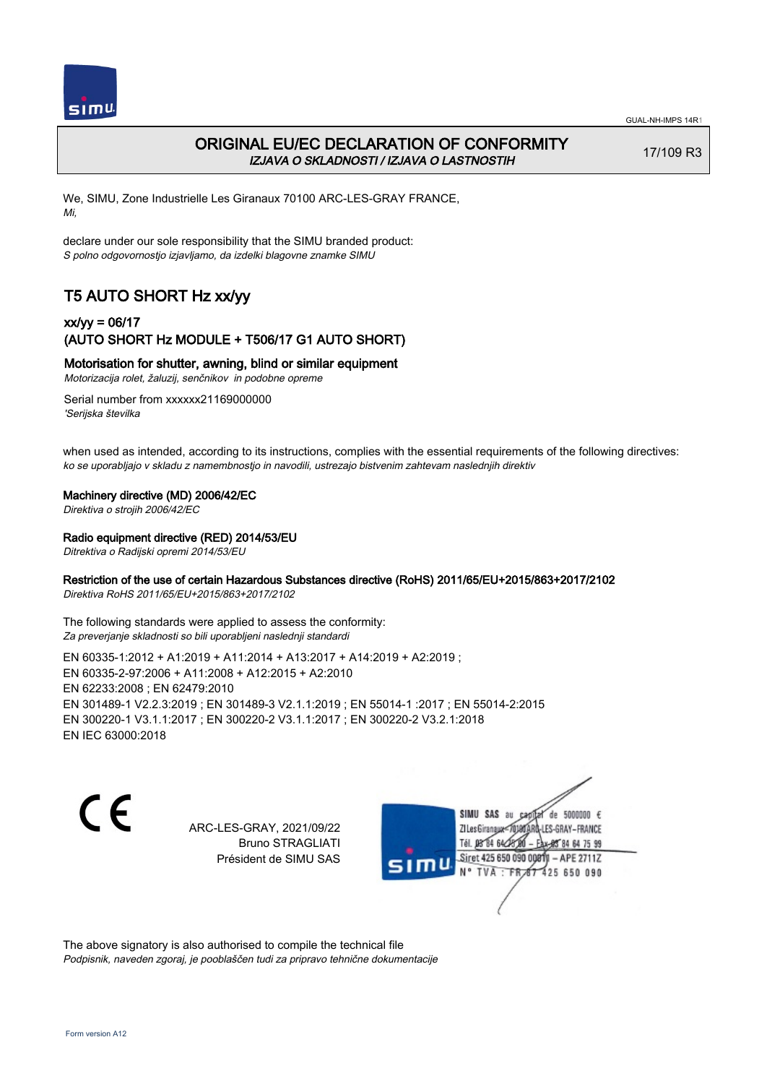

# ORIGINAL EU/EC DECLARATION OF CONFORMITY IZJAVA O SKLADNOSTI / IZJAVA O LASTNOSTIH

17/109 R3

We, SIMU, Zone Industrielle Les Giranaux 70100 ARC-LES-GRAY FRANCE, Mi,

declare under our sole responsibility that the SIMU branded product: S polno odgovornostjo izjavljamo, da izdelki blagovne znamke SIMU

# T5 AUTO SHORT Hz xx/yy

## xx/yy = 06/17 (AUTO SHORT Hz MODULE + T506/17 G1 AUTO SHORT)

### Motorisation for shutter, awning, blind or similar equipment

Motorizacija rolet, žaluzij, senčnikov in podobne opreme

Serial number from xxxxxx21169000000 'Serijska številka

when used as intended, according to its instructions, complies with the essential requirements of the following directives: ko se uporabljajo v skladu z namembnostjo in navodili, ustrezajo bistvenim zahtevam naslednjih direktiv

#### Machinery directive (MD) 2006/42/EC

Direktiva o strojih 2006/42/EC

#### Radio equipment directive (RED) 2014/53/EU

Ditrektiva o Radijski opremi 2014/53/EU

### Restriction of the use of certain Hazardous Substances directive (RoHS) 2011/65/EU+2015/863+2017/2102

Direktiva RoHS 2011/65/EU+2015/863+2017/2102

The following standards were applied to assess the conformity: Za preverjanje skladnosti so bili uporabljeni naslednji standardi

EN 60335‑1:2012 + A1:2019 + A11:2014 + A13:2017 + A14:2019 + A2:2019 ; EN 60335‑2‑97:2006 + A11:2008 + A12:2015 + A2:2010 EN 62233:2008 ; EN 62479:2010 EN 301489‑1 V2.2.3:2019 ; EN 301489‑3 V2.1.1:2019 ; EN 55014‑1 :2017 ; EN 55014‑2:2015 EN 300220‑1 V3.1.1:2017 ; EN 300220‑2 V3.1.1:2017 ; EN 300220‑2 V3.2.1:2018 EN IEC 63000:2018

C F

ARC-LES-GRAY, 2021/09/22 Bruno STRAGLIATI Président de SIMU SAS

de 5000000  $\epsilon$ SIMU SAS au ZI Les Giranaux-70180 LES-GRAY-FRANCE Tél. 08 R4 64 2 64 75 99 Siret 425 650 090 00811  $-$  APF 27117 125 650 090

The above signatory is also authorised to compile the technical file Podpisnik, naveden zgoraj, je pooblaščen tudi za pripravo tehnične dokumentacije